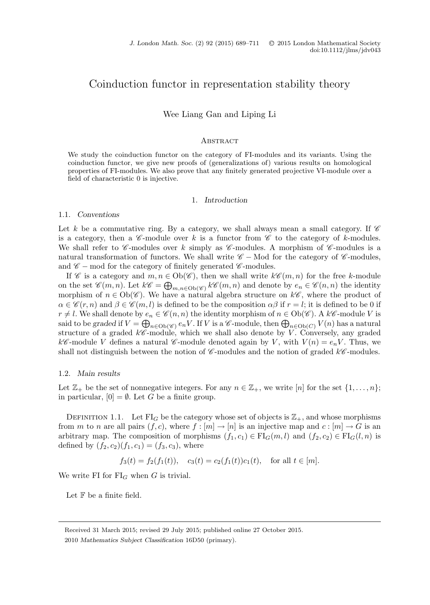# Coinduction functor in representation stability theory

Wee Liang Gan and Liping Li

#### **ABSTRACT**

We study the coinduction functor on the category of FI-modules and its variants. Using the coinduction functor, we give new proofs of (generalizations of) various results on homological properties of FI-modules. We also prove that any finitely generated projective VI-module over a field of characteristic 0 is injective.

## 1. *Introduction*

## 1.1. *Conventions*

Let k be a commutative ring. By a category, we shall always mean a small category. If  $\mathscr C$ is a category, then a  $\mathscr{C}\text{-module over }k$  is a functor from  $\mathscr{C}\text{ to the category of }k\text{-modules.}$ We shall refer to  $\mathscr C$ -modules over k simply as  $\mathscr C$ -modules. A morphism of  $\mathscr C$ -modules is a natural transformation of functors. We shall write *C* − Mod for the category of *C* -modules, and *C* − mod for the category of finitely generated *C* -modules.

If *C* is a category and  $m, n \in Ob(\mathscr{C})$ , then we shall write  $k\mathscr{C}(m, n)$  for the free k-module on the set  $\mathscr{C}(m,n)$ . Let  $k\mathscr{C} = \bigoplus_{m,n \in Ob(\mathscr{C})} k\mathscr{C}(m,n)$  and denote by  $e_n \in \mathscr{C}(n,n)$  the identity<br>morphism of  $n \in Ob(\mathscr{C})$ . We have a natural algebra structure on  $k\mathscr{C}$ , where the product of morphism of  $n \in Ob(\mathscr{C})$ . We have a natural algebra structure on  $k\mathscr{C}$ , where the product of  $\alpha \in \mathscr{C}(r,n)$  and  $\beta \in \mathscr{C}(m,l)$  is defined to be the composition  $\alpha \beta$  if  $r = l$ ; it is defined to be 0 if  $r \neq l$ . We shall denote by  $e_n \in \mathscr{C}(n, n)$  the identity morphism of  $n \in Ob(\mathscr{C})$ . A  $k\mathscr{C}$ -module V is said to be graded if  $V = \bigoplus_{n \in Ob(\mathscr{C})} e_n V$ . If V is a  $\mathscr{C}$ -module, then  $\bigoplus_{n \in Ob(C)} V(n)$  has a natural<br>structure of a graded *k* $\mathscr{C}$ -module, which we shall also denote by V. Conversely, any graded structure of a graded  $k\mathscr{C}$ -module, which we shall also denote by V. Conversely, any graded  $k\mathscr{C}$ -module V defines a natural  $\mathscr{C}$ -module denoted again by V, with  $V(n) = e_n V$ . Thus, we shall not distinguish between the notion of *<sup>C</sup>* -modules and the notion of graded k*<sup>C</sup>* -modules.

#### 1.2. *Main results*

Let  $\mathbb{Z}_+$  be the set of nonnegative integers. For any  $n \in \mathbb{Z}_+$ , we write  $[n]$  for the set  $\{1,\ldots,n\}$ ; in particular,  $[0] = \emptyset$ . Let G be a finite group.

DEFINITION 1.1. Let  $FI_G$  be the category whose set of objects is  $\mathbb{Z}_+$ , and whose morphisms from m to n are all pairs  $(f, c)$ , where  $f : [m] \to [n]$  is an injective map and  $c : [m] \to G$  is an arbitrary map. The composition of morphisms  $(f_1, c_1) \in \mathrm{FI}_G(m, l)$  and  $(f_2, c_2) \in \mathrm{FI}_G(l, n)$  is defined by  $(f_2, c_2)(f_1, c_1)=(f_3, c_3)$ , where

$$
f_3(t) = f_2(f_1(t)),
$$
  $c_3(t) = c_2(f_1(t))c_1(t),$  for all  $t \in [m]$ .

We write FI for  $FI_G$  when G is trivial.

Let  $\mathbb F$  be a finite field.

Received 31 March 2015; revised 29 July 2015; published online 27 October 2015. 2010 *Mathematics Subject Classification* 16D50 (primary).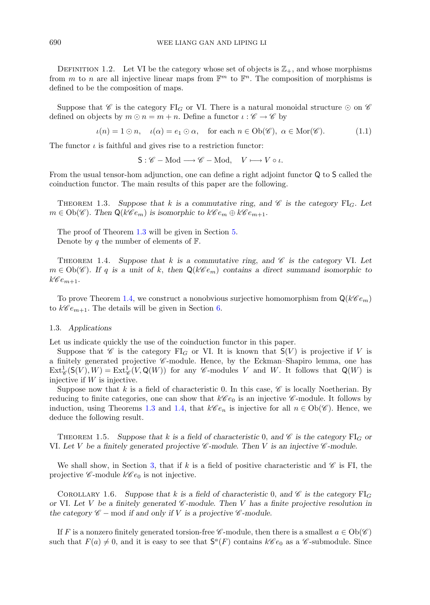DEFINITION 1.2. Let VI be the category whose set of objects is  $\mathbb{Z}_+$ , and whose morphisms from m to n are all injective linear maps from  $\mathbb{F}^m$  to  $\mathbb{F}^n$ . The composition of morphisms is defined to be the composition of maps.

Suppose that *C* is the category FI<sub>G</sub> or VI. There is a natural monoidal structure  $\odot$  on  $\mathscr C$ defined on objects by  $m \odot n = m + n$ . Define a functor  $\iota : \mathscr{C} \to \mathscr{C}$  by

<span id="page-1-4"></span>
$$
\iota(n) = 1 \odot n, \quad \iota(\alpha) = e_1 \odot \alpha, \quad \text{for each } n \in \text{Ob}(\mathscr{C}), \ \alpha \in \text{Mor}(\mathscr{C}). \tag{1.1}
$$

The functor  $\iota$  is faithful and gives rise to a restriction functor:

 $S: \mathscr{C} - Mod \longrightarrow \mathscr{C} - Mod, \quad V \longmapsto V \circ \iota.$ 

<span id="page-1-0"></span>From the usual tensor-hom adjunction, one can define a right adjoint functor Q to S called the coinduction functor. The main results of this paper are the following.

THEOREM 1.3. Suppose that k is a commutative ring, and  $\mathscr C$  is the category  $\text{FI}_G$ . Let  $m \in Ob(\mathscr{C})$ . Then  $\mathsf{Q}(k\mathscr{C}e_m)$  is isomorphic to  $k\mathscr{C}e_m \oplus k\mathscr{C}e_{m+1}$ .

<span id="page-1-1"></span>The proof of Theorem [1.3](#page-1-0) will be given in Section [5.](#page-9-0) Denote by q the number of elements of  $\mathbb{F}$ .

THEOREM 1.4. Suppose that  $k$  is a commutative ring, and  $\mathscr C$  is the category VI. Let  $m \in Ob(\mathscr{C})$ *. If q is a unit of k, then*  $Q(k\mathscr{C}e_m)$  contains a direct summand isomorphic to  $k\mathscr{C}e_{m+1}$ .

To prove Theorem [1.4,](#page-1-1) we construct a nonobvious surjective homomorphism from  $\mathbf{Q}(k\mathscr{C}e_m)$ to  $k\mathscr{C}e_{m+1}$ . The details will be given in Section [6.](#page-12-0)

#### 1.3. *Applications*

Let us indicate quickly the use of the coinduction functor in this paper.

Suppose that *C* is the category  $FI_G$  or VI. It is known that  $S(V)$  is projective if V is a finitely generated projective *C* -module. Hence, by the Eckman–Shapiro lemma, one has  $\text{Ext}^1_{\mathscr{C}}(\mathsf{S}(V), W) = \text{Ext}^1_{\mathscr{C}}(V, \mathsf{Q}(W))$  for any *C*-modules *V* and *W*. It follows that  $\mathsf{Q}(W)$  is injective if *W* is injective injective if  $W$  is injective.

Suppose now that k is a field of characteristic 0. In this case,  $\mathscr C$  is locally Noetherian. By reducing to finite categories, one can show that  $k\mathscr{C}e_0$  is an injective  $\mathscr{C}\text{-module}$ . It follows by induction, using Theorems [1.3](#page-1-0) and [1.4,](#page-1-1) that  $k\mathscr{C}e_n$  is injective for all  $n \in Ob(\mathscr{C})$ . Hence, we deduce the following result.

<span id="page-1-2"></span>THEOREM 1.5. Suppose that k is a field of characteristic 0, and  $\mathscr C$  is the category  $\text{FI}_G$  or VI. Let V be a finitely generated projective  $\mathscr{C}$ -module. Then V is an injective  $\mathscr{C}$ -module.

<span id="page-1-3"></span>We shall show, in Section [3,](#page-7-0) that if k is a field of positive characteristic and  $\mathscr C$  is FI, the projective  $\mathscr{C}\text{-module }k\mathscr{C}e_0$  is not injective.

COROLLARY 1.6. Suppose that k is a field of characteristic 0, and  $\mathscr{C}$  is the category  $FI_G$ *or* VI*. Let* V *be a finitely generated <sup>C</sup> -module. Then* V *has a finite projective resolution in the category*  $\mathscr{C}$  − mod *if and only if V is a projective*  $\mathscr{C}$ *-module.* 

If F is a nonzero finitely generated torsion-free  $\mathscr{C}$ -module, then there is a smallest  $a \in Ob(\mathscr{C})$ such that  $F(a) \neq 0$ , and it is easy to see that  $S^a(F)$  contains  $k\mathscr{C}e_0$  as a  $\mathscr{C}$ -submodule. Since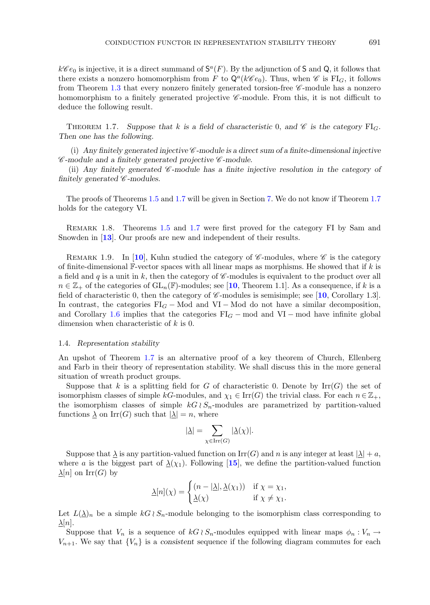$k\mathscr{C}e_0$  is injective, it is a direct summand of  $S^a(F)$ . By the adjunction of S and Q, it follows that there exists a nonzero homomorphism from F to  $Q^a(k\mathscr{C}e_0)$ . Thus, when  $\mathscr{C}$  is FI<sub>G</sub>, it follows from Theorem [1.3](#page-1-0) that every nonzero finitely generated torsion-free *C* -module has a nonzero homomorphism to a finitely generated projective *C*-module. From this, it is not difficult to deduce the following result.

<span id="page-2-0"></span>THEOREM 1.7. Suppose that k is a field of characteristic 0, and  $\mathscr C$  is the category  $\text{FI}_G$ . *Then one has the following.*

(i) Any finitely generated injective  $\mathscr{C}$ -module is a direct sum of a finite-dimensional injective *C -module and a finitely generated projective C -module.*

(ii) *Any finitely generated C -module has a finite injective resolution in the category of finitely generated C -modules.*

The proofs of Theorems [1.5](#page-1-2) and [1.7](#page-2-0) will be given in Section [7.](#page-17-0) We do not know if Theorem [1.7](#page-2-0) holds for the category VI.

REMARK 1.8. Theorems [1.5](#page-1-2) and [1.7](#page-2-0) were first proved for the category FI by Sam and Snowden in [**[13](#page-21-0)**]. Our proofs are new and independent of their results.

REMARK 1.9. In [[10](#page-21-1)], Kuhn studied the category of  $\mathscr{C}$ -modules, where  $\mathscr{C}$  is the category of finite-dimensional  $\mathbb{F}\text{-vector spaces with all linear maps as morphisms. He showed that if  $k$  is$ a field and q is a unit in k, then the category of  $\mathscr{C}\text{-modules}$  is equivalent to the product over all  $n \in \mathbb{Z}_+$  of the categories of  $GL_n(\mathbb{F})$ -modules; see [[10](#page-21-1), Theorem 1.1]. As a consequence, if k is a field of characteristic 0, then the category of *C* -modules is semisimple; see [**[10](#page-21-1)**, Corollary 1.3]. In contrast, the categories  $FI_G - Mod$  and VI – Mod do not have a similar decomposition, and Corollary [1.6](#page-1-3) implies that the categories  $FI_G$  – mod and VI – mod have infinite global dimension when characteristic of k is 0.

#### <span id="page-2-1"></span>1.4. *Representation stability*

An upshot of Theorem [1.7](#page-2-0) is an alternative proof of a key theorem of Church, Ellenberg and Farb in their theory of representation stability. We shall discuss this in the more general situation of wreath product groups.

Suppose that k is a splitting field for G of characteristic 0. Denote by  $\mathrm{Irr}(G)$  the set of isomorphism classes of simple kG-modules, and  $\chi_1 \in \text{Irr}(G)$  the trivial class. For each  $n \in \mathbb{Z}_+$ , the isomorphism classes of simple  $kG \wr S_n$ -modules are parametrized by partition-valued<br>functions  $\lambda$  on  $\text{Irr}(G)$  such that  $|\lambda| = n$  where functions  $\underline{\lambda}$  on Irr(G) such that  $|\underline{\lambda}| = n$ , where

$$
|\underline{\lambda}| = \sum_{\chi \in \operatorname{Irr}(G)} |\underline{\lambda}(\chi)|.
$$

Suppose that  $\lambda$  is any partition-valued function on  $\text{Irr}(G)$  and n is any integer at least  $|\lambda| + a$ , where a is the biggest part of  $\Delta(\chi_1)$ . Following [[15](#page-21-2)], we define the partition-valued function  $\lambda[n]$  on  $\mathrm{Irr}(G)$  by

$$
\underline{\lambda}[n](\chi) = \begin{cases} (n - |\underline{\lambda}|, \underline{\lambda}(\chi_1)) & \text{if } \chi = \chi_1, \\ \underline{\lambda}(\chi) & \text{if } \chi \neq \chi_1. \end{cases}
$$

Let  $L(\underline{\lambda})_n$  be a simple  $kG \wr S_n$ -module belonging to the isomorphism class corresponding to  $\lambda[n]$  $\Delta[n]$ .

Suppose that  $V_n$  is a sequence of  $kG \wr S_n$ -modules equipped with linear maps  $\phi_n : V_n \to W$ <br>is a consistent sequence if the following diagram commutes for each  $V_{n+1}$ . We say that  $\{V_n\}$  is a *consistent* sequence if the following diagram commutes for each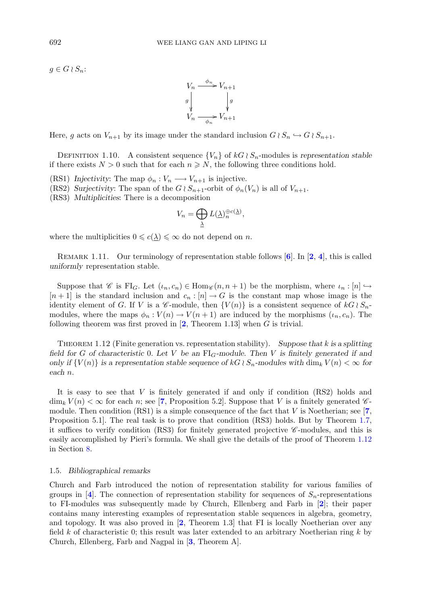$g \in G \wr S_n$ :



Here, g acts on  $V_{n+1}$  by its image under the standard inclusion  $G \wr S_n \hookrightarrow G \wr S_{n+1}$ .

DEFINITION 1.10. A consistent sequence  $\{V_n\}$  of  $kG \wr S_n$ -modules is *representation stable*<br>there exists  $N > 0$  such that for each  $n \ge N$  the following three conditions hold if there exists  $N > 0$  such that for each  $n \geq N$ , the following three conditions hold.

- (RS1) *Injectivity*: The map  $\phi_n : V_n \longrightarrow V_{n+1}$  is injective.
- (RS2) *Surjectivity*: The span of the  $G \wr S_{n+1}$ -orbit of  $\phi_n(V_n)$  is all of  $V_{n+1}$ .<br>(RS3) *Multiplicities*: There is a decomposition
- (RS3) *Multiplicities*: There is a decomposition

$$
V_n = \bigoplus_{\lambda} L(\underline{\lambda})_n^{\oplus c(\underline{\lambda})},
$$

λ

where the multiplicities  $0 \leqslant c(\underline{\lambda}) \leqslant \infty$  do not depend on n.

Remark 1.11. Our terminology of representation stable follows [**[6](#page-21-3)**]. In [**[2](#page-21-4)**, **[4](#page-21-5)**], this is called *uniformly* representation stable.

Suppose that *C* is FI<sub>G</sub>. Let  $(\iota_n, c_n) \in \text{Hom}_{\mathscr{C}}(n, n+1)$  be the morphism, where  $\iota_n : [n] \hookrightarrow$  $[n+1]$  is the standard inclusion and  $c_n : [n] \to G$  is the constant map whose image is the identity element of G. If V is a *C*-module, then  $\{V(n)\}\$  is a consistent sequence of  $kG\wr S_n$ -<br>modules where the mans  $\phi: V(n) \to V(n+1)$  are induced by the morphisms  $(\psi, c)$ . The modules, where the maps  $\phi_n : V(n) \to V(n+1)$  are induced by the morphisms  $(\iota_n, c_n)$ . The following theorem was first proved in [**[2](#page-21-4)**, Theorem 1.13] when G is trivial.

<span id="page-3-0"></span>Theorem 1.12 (Finite generation vs. representation stability). *Suppose that* k *is a splitting field for* <sup>G</sup> *of characteristic* <sup>0</sup>*. Let* <sup>V</sup> *be an* FIG*-module. Then* <sup>V</sup> *is finitely generated if and only if*  $\{V(n)\}\$ is a representation stable sequence of  $kG \wr S_n$ -modules with  $\dim_k V(n) < \infty$  for each n *each* n*.*

It is easy to see that  $V$  is finitely generated if and only if condition  $(RS2)$  holds and  $\dim_k V(n) < \infty$  for each n; see [[7](#page-21-6), Proposition 5.2]. Suppose that V is a finitely generated  $\mathscr{C}$ module. Then condition (RS1) is a simple consequence of the fact that V is Noetherian; see [**[7](#page-21-6)**, Proposition 5.1]. The real task is to prove that condition (RS3) holds. But by Theorem [1.7,](#page-2-0) it suffices to verify condition (RS3) for finitely generated projective *C* -modules, and this is easily accomplished by Pieri's formula. We shall give the details of the proof of Theorem [1.12](#page-3-0) in Section [8.](#page-20-0)

#### 1.5. *Bibliographical remarks*

Church and Farb introduced the notion of representation stability for various families of groups in [[4](#page-21-5)]. The connection of representation stability for sequences of  $S_n$ -representations to FI-modules was subsequently made by Church, Ellenberg and Farb in [**[2](#page-21-4)**]; their paper contains many interesting examples of representation stable sequences in algebra, geometry, and topology. It was also proved in [**[2](#page-21-4)**, Theorem 1.3] that FI is locally Noetherian over any field k of characteristic 0; this result was later extended to an arbitrary Noetherian ring  $k$  by Church, Ellenberg, Farb and Nagpal in [**[3](#page-21-7)**, Theorem A].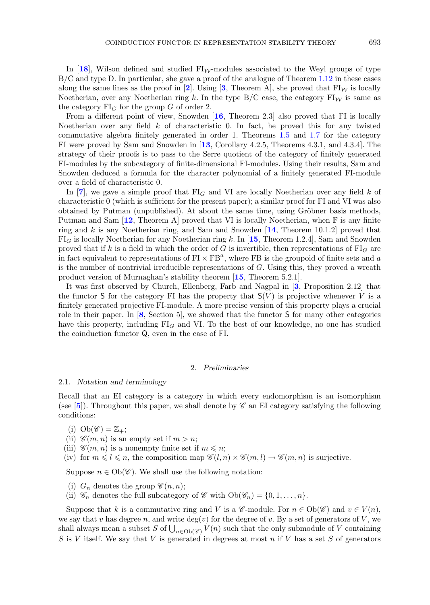In [[18](#page-21-8)], Wilson defined and studied  $FI_{W}$ -modules associated to the Weyl groups of type B/C and type D. In particular, she gave a proof of the analogue of Theorem [1.12](#page-3-0) in these cases along the same lines as the proof in [[2](#page-21-4)]. Using [[3](#page-21-7), Theorem A], she proved that  $FI_W$  is locally Noetherian, over any Noetherian ring k. In the type  $B/C$  case, the category  $FI_W$  is same as the category  $FI_G$  for the group G of order 2.

From a different point of view, Snowden [**[16](#page-21-9)**, Theorem 2.3] also proved that FI is locally Noetherian over any field  $k$  of characteristic 0. In fact, he proved this for any twisted commutative algebra finitely generated in order 1. Theorems [1.5](#page-1-2) and [1.7](#page-2-0) for the category FI were proved by Sam and Snowden in [**[13](#page-21-0)**, Corollary 4.2.5, Theorems 4.3.1, and 4.3.4]. The strategy of their proofs is to pass to the Serre quotient of the category of finitely generated FI-modules by the subcategory of finite-dimensional FI-modules. Using their results, Sam and Snowden deduced a formula for the character polynomial of a finitely generated FI-module over a field of characteristic 0.

In [**[7](#page-21-6)**], we gave a simple proof that  $FI_G$  and VI are locally Noetherian over any field k of characteristic 0 (which is sufficient for the present paper); a similar proof for FI and VI was also obtained by Putman (unpublished). At about the same time, using Gröbner basis methods, Putman and Sam  $[12,$  $[12,$  $[12,$  Theorem A] proved that VI is locally Noetherian, when  $\mathbb F$  is any finite ring and k is any Noetherian ring, and Sam and Snowden [**[14](#page-21-11)**, Theorem 10.1.2] proved that  $FI_G$  is locally Noetherian for any Noetherian ring k. In [[15](#page-21-2)], Theorem 1.2.4], Sam and Snowden proved that if k is a field in which the order of G is invertible, then representations of  $FI_G$  are in fact equivalent to representations of  $FI \times FB^a$ , where FB is the groupoid of finite sets and a is the number of nontrivial irreducible representations of  $G$ . Using this, they proved a wreath product version of Murnaghan's stability theorem [**[15](#page-21-2)**, Theorem 5.2.1].

It was first observed by Church, Ellenberg, Farb and Nagpal in [**[3](#page-21-7)**, Proposition 2.12] that the functor S for the category FI has the property that  $S(V)$  is projective whenever V is a finitely generated projective FI-module. A more precise version of this property plays a crucial role in their paper. In [**[8](#page-21-12)**, Section 5], we showed that the functor S for many other categories have this property, including  $FI_G$  and VI. To the best of our knowledge, no one has studied the coinduction functor Q, even in the case of FI.

#### 2. *Preliminaries*

#### <span id="page-4-0"></span>2.1. *Notation and terminology*

Recall that an EI category is a category in which every endomorphism is an isomorphism (see  $[5]$  $[5]$  $[5]$ ). Throughout this paper, we shall denote by  $\mathscr C$  an EI category satisfying the following conditions:

- $(i)$   $Ob(\mathscr{C}) = \mathbb{Z}_+;$
- (ii)  $\mathscr{C}(m,n)$  is an empty set if  $m>n$ ;
- (iii)  $\mathscr{C}(m,n)$  is a nonempty finite set if  $m \leq n$ ;

(iv) for  $m \leq l \leq n$ , the composition map  $\mathscr{C}(l,n) \times \mathscr{C}(m,l) \to \mathscr{C}(m,n)$  is surjective.

Suppose  $n \in Ob(\mathscr{C})$ . We shall use the following notation:

- (i)  $G_n$  denotes the group  $\mathscr{C}(n,n)$ ;
- (ii)  $\mathscr{C}_n$  denotes the full subcategory of  $\mathscr{C}$  with  $Ob(\mathscr{C}_n) = \{0, 1, \ldots, n\}.$

Suppose that k is a commutative ring and V is a  $\mathscr{C}\text{-module}$ . For  $n \in Ob(\mathscr{C})$  and  $v \in V(n)$ , we say that v has degree n, and write  $\deg(v)$  for the degree of v. By a set of generators of V, we shall always mean a subset S of  $\bigcup_{n\in\text{Ob}(\mathscr{C})} V(n)$  such that the only submodule of V containing  $S$  is V itself. We say that V is concerted in degrees at most n if V has a set S of concerters S is V itself. We say that V is generated in degrees at most n if V has a set S of generators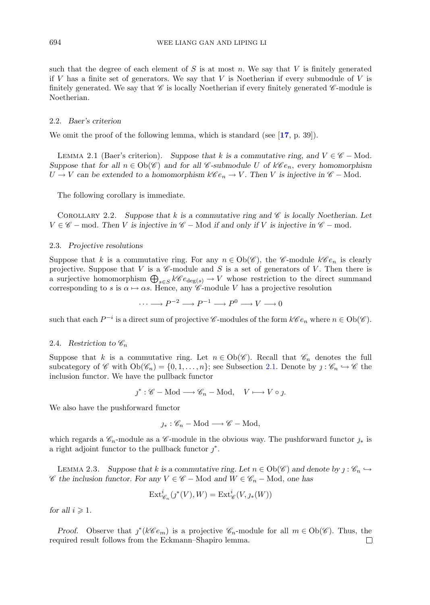such that the degree of each element of  $S$  is at most n. We say that V is finitely generated if V has a finite set of generators. We say that V is Noetherian if every submodule of V is finitely generated. We say that  $\mathscr C$  is locally Noetherian if every finitely generated  $\mathscr C$ -module is Noetherian.

#### 2.2. *Baer's criterion*

We omit the proof of the following lemma, which is standard (see [**[17](#page-21-14)**, p. 39]).

LEMMA 2.1 (Baer's criterion). *Suppose that* k is a commutative ring, and  $V \in \mathscr{C}$  – Mod. *Suppose that for all*  $n \in Ob(\mathscr{C})$  *and for all*  $\mathscr{C}$ -submodule U of  $k\mathscr{C}e_n$ , *every homomorphism*  $U$  →  $V$  can be extended to a homomorphism  $k\mathscr{C}e_n$  →  $V$ . Then V is injective in  $\mathscr{C}$  – Mod.

<span id="page-5-1"></span>The following corollary is immediate.

COROLLARY 2.2. Suppose that  $k$  is a commutative ring and  $\mathscr C$  is locally Noetherian. Let  $V \in \mathscr{C}$  − mod. Then V is injective in  $\mathscr{C}$  − Mod if and only if V is injective in  $\mathscr{C}$  − mod.

#### 2.3. *Projective resolutions*

Suppose that k is a commutative ring. For any  $n \in Ob(\mathscr{C})$ , the  $\mathscr{C}\text{-module } k\mathscr{C}e_n$  is clearly projective. Suppose that V is a  $\mathscr C$ -module and S is a set of generators of V. Then there is a surjective homomorphism  $\bigoplus_{s\in S} k\mathscr{C}e_{\deg(s)} \to V$  whose restriction to the direct summand<br>corresponding to s is  $\alpha \mapsto \alpha s$ . Hence, any  $\mathscr{C}$ -module V has a projective resolution corresponding to s is  $\alpha \mapsto \alpha s$ . Hence, any *C*-module V has a projective resolution

 $\cdots \longrightarrow P^{-2} \longrightarrow P^{-1} \longrightarrow P^{0} \longrightarrow V \longrightarrow 0$ 

such that each  $P^{-i}$  is a direct sum of projective *C*-modules of the form  $k\mathscr{C}e_n$  where  $n \in Ob(\mathscr{C})$ .

#### 2.4. *Restriction to*  $\mathscr{C}_n$

Suppose that k is a commutative ring. Let  $n \in Ob(\mathscr{C})$ . Recall that  $\mathscr{C}_n$  denotes the full subcategory of *C* with  $Ob(\mathscr{C}_n) = \{0, 1, ..., n\}$ ; see Subsection [2.1.](#page-4-0) Denote by  $j : \mathscr{C}_n \hookrightarrow \mathscr{C}$  the inclusion functor. We have the pullback functor

$$
\jmath^* : \mathscr{C} - \text{Mod} \longrightarrow \mathscr{C}_n - \text{Mod}, \quad V \longmapsto V \circ \jmath.
$$

We also have the pushforward functor

$$
\jmath_*:\mathscr{C}_n-\operatorname{Mod}\longrightarrow\mathscr{C}-\operatorname{Mod},
$$

<span id="page-5-0"></span>which regards a  $\mathscr{C}_n$ -module as a  $\mathscr{C}_n$ -module in the obvious way. The pushforward functor  $j_*$  is a right adjoint functor to the pullback functor  $j^*$ .

LEMMA 2.3. Suppose that k is a commutative ring. Let  $n \in Ob(\mathscr{C})$  and denote by  $j : \mathscr{C}_n \hookrightarrow$ *C the inclusion functor. For any*  $V \in \mathcal{C}$  − Mod *and*  $W \in \mathcal{C}_n$  − Mod, *one has* 

$$
\operatorname{Ext}_{\mathscr{C}_n}^i(j^*(V), W) = \operatorname{Ext}_{\mathscr{C}}^i(V, \jmath_*(W))
$$

for all  $i \geqslant 1$ .

<span id="page-5-2"></span>*Proof.* Observe that  $j^*(k\mathcal{C}e_m)$  is a projective  $\mathcal{C}_n$ -module for all  $m \in Ob(\mathcal{C})$ . Thus, the quired result follows from the Eckmann–Shapiro lemma. required result follows from the Eckmann–Shapiro lemma.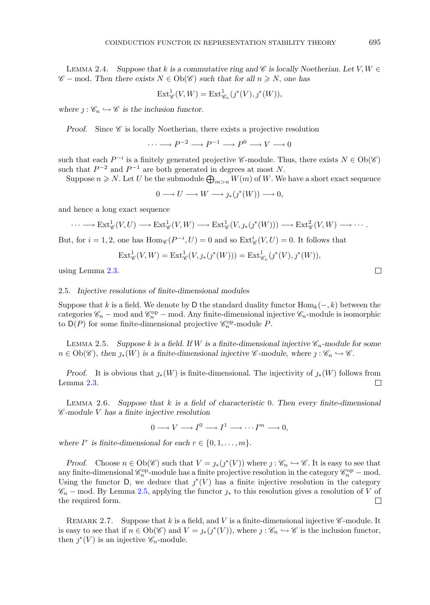LEMMA 2.4. Suppose that k is a commutative ring and  $\mathscr C$  is locally Noetherian. Let  $V, W \in$  $\mathscr{C}$  − mod. Then there exists  $N \in Ob(\mathscr{C})$  such that for all  $n \geq N$ , one has

$$
\operatorname{Ext}_{\mathscr{C}}^1(V, W) = \operatorname{Ext}_{\mathscr{C}_n}^1(\jmath^*(V), \jmath^*(W)),
$$

*where*  $j : \mathscr{C}_n \hookrightarrow \mathscr{C}$  *is the inclusion functor.* 

*Proof.* Since *C* is locally Noetherian, there exists a projective resolution

 $\cdots \longrightarrow P^{-2} \longrightarrow P^{-1} \longrightarrow P^{0} \longrightarrow V \longrightarrow 0$ 

such that each  $P^{-i}$  is a finitely generated projective *C*-module. Thus, there exists  $N \in Ob(\mathscr{C})$ such that  $P^{-2}$  and  $P^{-1}$  are both generated in degrees at most N.

Suppose  $n \geq N$ . Let U be the submodule  $\bigoplus_{m>n} W(m)$  of W. We have a short exact sequence

$$
0 \longrightarrow U \longrightarrow W \longrightarrow \jmath_{*}(\jmath^{*}(W)) \longrightarrow 0,
$$

and hence a long exact sequence

$$
\cdots \longrightarrow \text{Ext}^1_{\mathscr{C}}(V, U) \longrightarrow \text{Ext}^1_{\mathscr{C}}(V, W) \longrightarrow \text{Ext}^1_{\mathscr{C}}(V, \jmath_*(\jmath^*(W))) \longrightarrow \text{Ext}^2_{\mathscr{C}}(V, W) \longrightarrow \cdots.
$$

But, for  $i = 1, 2$ , one has  $\text{Hom}_{\mathscr{C}}(P^{-i}, U) = 0$  and so  $\text{Ext}^i_{\mathscr{C}}(V, U) = 0$ . It follows that

$$
Ext^1_{\mathscr{C}}(V, W) = Ext^1_{\mathscr{C}}(V, \jmath_*(\jmath^*(W))) = Ext^1_{\mathscr{C}_n}(\jmath^*(V), \jmath^*(W)),
$$

using Lemma [2.3.](#page-5-0)

#### 2.5. *Injective resolutions of finite-dimensional modules*

Suppose that k is a field. We denote by D the standard duality functor  $\text{Hom}_k(-, k)$  between the categories  $\mathcal{C}_n$  – mod and  $\mathcal{C}_n^{\text{op}}$  – mod. Any finite-dimensional injective  $\mathcal{C}_n$ -module is isomorphic<br>to  $D(P)$  for some finite-dimensional projective  $\mathcal{C}^{\text{op}}$ -module P to  $D(P)$  for some finite-dimensional projective  $\mathscr{C}_n^{\text{op}}$ -module P.

<span id="page-6-0"></span>LEMMA 2.5. *Suppose* k is a field. If W is a finite-dimensional injective  $\mathscr{C}_n$ -module for some  $n \in Ob(\mathscr{C})$ , then  $\jmath_*(W)$  is a finite-dimensional injective  $\mathscr{C}$ -module, where  $\jmath: \mathscr{C}_n \hookrightarrow \mathscr{C}$ .

*Proof.* It is obvious that  $j_*(W)$  is finite-dimensional. The injectivity of  $j_*(W)$  follows from mma 2.3. Lemma [2.3.](#page-5-0)

<span id="page-6-1"></span>Lemma 2.6. *Suppose that* k *is a field of characteristic* <sup>0</sup>*. Then every finite-dimensional <sup>C</sup> -module* V *has a finite injective resolution*

 $0 \longrightarrow V \longrightarrow I^0 \longrightarrow I^1 \longrightarrow \cdots I^m \longrightarrow 0.$ 

*where*  $I^r$  *is finite-dimensional for each*  $r \in \{0, 1, \ldots, m\}$ *.* 

*Proof.* Choose  $n \in Ob(\mathscr{C})$  such that  $V = \jmath_*(j^*(V))$  where  $j: \mathscr{C}_n \hookrightarrow \mathscr{C}$ . It is easy to see that any finite-dimensional  $\mathcal{C}_n^{\text{op}}$ -module has a finite projective resolution in the category  $\mathcal{C}_n^{\text{op}}$  – mod.<br>Heing the functor  $D$ , we deduce that  $\alpha^*(V)$  has a finite injective resolution in the category Using the functor D, we deduce that  $j^*(V)$  has a finite injective resolution in the category  $\mathscr{C}_n$  − mod. By Lemma [2.5,](#page-6-0) applying the functor  $j_*$  to this resolution gives a resolution of *V* of the required form. the required form.

REMARK 2.7. Suppose that k is a field, and V is a finite-dimensional injective  $\mathscr{C}\text{-module}$ . It is easy to see that if  $n \in Ob(\mathscr{C})$  and  $V = \jmath_*(j^*(V))$ , where  $j : \mathscr{C}_n \hookrightarrow \mathscr{C}$  is the inclusion functor, then  $j^*(V)$  is an injective  $\mathscr{C}_n$ -module.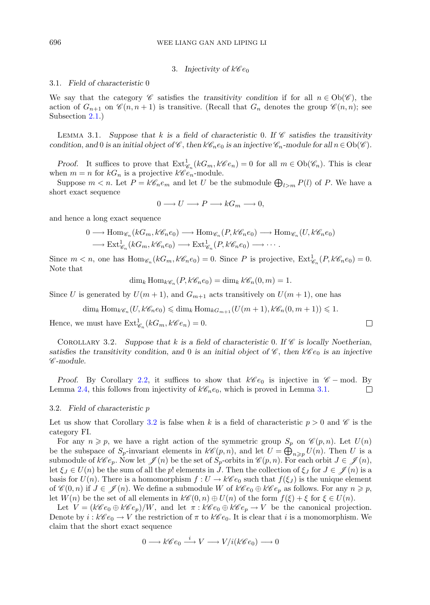## 3. Injectivity of  $k\mathscr{C}e_0$

### <span id="page-7-0"></span>3.1. *Field of characteristic* 0

We say that the category *C* satisfies the *transitivity condition* if for all  $n \in Ob(\mathscr{C})$ , the action of  $G_{n+1}$  on  $\mathscr{C}(n,n+1)$  is transitive. (Recall that  $G_n$  denotes the group  $\mathscr{C}(n,n)$ ; see Subsection [2.1.](#page-4-0))

<span id="page-7-1"></span>Lemma 3.1. *Suppose that* k *is a field of characteristic* <sup>0</sup>*. If <sup>C</sup> satisfies the transitivity condition*, and 0 *is an initial object of*  $\mathscr{C}$ , *then*  $k\mathscr{C}_n e_0$  *is an injective*  $\mathscr{C}_n$ *-module for all*  $n \in Ob(\mathscr{C})$ *.* 

*Proof.* It suffices to prove that  $\text{Ext}_{\mathscr{C}_n}^1(kG_m, k\mathscr{C}_{e_n}) = 0$  for all  $m \in \text{Ob}(\mathscr{C}_n)$ . This is clear non  $m = n$  for kG is a projective  $k\mathscr{C}_{e_n}$  module when  $m = n$  for  $kG_n$  is a projective  $k\mathscr{C}e_n$ -module.

Suppose  $m < n$ . Let  $P = k\mathcal{C}_n e_m$  and let U be the submodule  $\bigoplus_{l>m} P(l)$  of P. We have a ort exact sequence short exact sequence

$$
0 \longrightarrow U \longrightarrow P \longrightarrow kG_m \longrightarrow 0,
$$

and hence a long exact sequence

$$
0 \longrightarrow \text{Hom}_{\mathscr{C}_n}(kG_m, k\mathscr{C}_n e_0) \longrightarrow \text{Hom}_{\mathscr{C}_n}(P, k\mathscr{C}_n e_0) \longrightarrow \text{Hom}_{\mathscr{C}_n}(U, k\mathscr{C}_n e_0)
$$

$$
\longrightarrow \text{Ext}^1_{\mathscr{C}_n}(kG_m, k\mathscr{C}_n e_0) \longrightarrow \text{Ext}^1_{\mathscr{C}_n}(P, k\mathscr{C}_n e_0) \longrightarrow \cdots
$$

Since  $m < n$ , one has  $\text{Hom}_{\mathscr{C}_n}(kG_m, k\mathscr{C}_n e_0) = 0$ . Since P is projective,  $\text{Ext}^1_{\mathscr{C}_n}(P, k\mathscr{C}_n e_0) = 0$ . Note that

$$
\dim_k \text{Hom}_{k\mathscr{C}_n}(P, k\mathscr{C}_n e_0) = \dim_k k\mathscr{C}_n(0, m) = 1.
$$

Since U is generated by  $U(m + 1)$ , and  $G_{m+1}$  acts transitively on  $U(m + 1)$ , one has

$$
\dim_k \operatorname{Hom}_{k\mathscr{C}_n}(U, k\mathscr{C}_n e_0) \leq \dim_k \operatorname{Hom}_{kG_{m+1}}(U(m+1), k\mathscr{C}_n(0, m+1)) \leq 1.
$$

Hence, we must have  $\text{Ext}_{\mathscr{C}_n}^1(kG_m, k\mathscr{C}e_n)=0.$ 

<span id="page-7-2"></span>COROLLARY 3.2. Suppose that k is a field of characteristic 0. If  $\mathscr C$  is locally Noetherian, *satisfies the transitivity condition, and* 0 *is an initial object of*  $\mathscr{C}$ , then  $k\mathscr{C}e_0$  *is an injective C -module.*

*Proof.* By Corollary [2.2,](#page-5-1) it suffices to show that  $k\mathscr{C}e_0$  is injective in  $\mathscr{C}$  – mod. By mma 2.4, this follows from injectivity of  $k\mathscr{C}_n e_0$ , which is proved in Lemma 3.1. Lemma [2.4,](#page-5-2) this follows from injectivity of  $k\mathscr{C}_n e_0$ , which is proved in Lemma [3.1.](#page-7-1)

#### 3.2. *Field of characteristic* p

Let us show that Corollary [3.2](#page-7-2) is false when k is a field of characteristic  $p > 0$  and  $\mathscr C$  is the category FI.

For any  $n \geq p$ , we have a right action of the symmetric group  $S_p$  on  $\mathscr{C}(p, n)$ . Let  $U(n)$ <br>the subspace of *S* -invariant elements in  $\mathscr{C}(p, n)$  and let  $U = \mathbb{D}$   $U(n)$ . Then *U* is a be the subspace of  $S_p$ -invariant elements in  $k\mathscr{C}(p, n)$ , and let  $U = \bigoplus_{n \geq p} U(n)$ . Then U is a<br>submodule of  $k\mathscr{C}_e$ . Now let  $\mathscr{C}(n)$  be the set of S-orbits in  $\mathscr{C}(n, n)$ . For each orbit  $I \subseteq \mathscr{C}(n)$ . submodule of  $k\mathscr{C}e_p$ . Now let  $\mathscr{J}(n)$  be the set of  $S_p$ -orbits in  $\mathscr{C}(p, n)$ . For each orbit  $J \in \mathscr{J}(n)$ ,<br>let  $\xi_L \in U(n)$  be the sum of all the *n* elements in *I*. Then the collection of  $\xi_L$  for  $I \in \mathscr{J}(n)$ let  $\xi_J \in U(n)$  be the sum of all the p! elements in J. Then the collection of  $\xi_J$  for  $J \in \mathscr{J}(n)$  is a basis for  $U(n)$ . There is a homomorphism  $f: U \to k\mathscr{C}e_0$  such that  $f(\xi_J)$  is the unique element of  $\mathscr{C}(0,n)$  if  $J \in \mathscr{J}(n)$ . We define a submodule W of  $k\mathscr{C}e_0 \oplus k\mathscr{C}e_p$  as follows. For any  $n \geq p$ ,<br>let  $W(n)$  be the set of all elements in  $k\mathscr{C}(0,n) \oplus U(n)$  of the form  $f(\xi) + \xi$  for  $\xi \in U(n)$ . let  $W(n)$  be the set of all elements in  $k\mathscr{C}(0,n) \oplus U(n)$  of the form  $f(\xi) + \xi$  for  $\xi \in U(n)$ .

Let  $V = (k\mathscr{C}e_0 \oplus k\mathscr{C}e_p)/W$ , and let  $\pi : k\mathscr{C}e_0 \oplus k\mathscr{C}e_p \to V$  be the canonical projection. Denote by  $i : k\mathscr{C}e_0 \to V$  the restriction of  $\pi$  to  $k\mathscr{C}e_0$ . It is clear that i is a monomorphism. We claim that the short exact sequence

$$
0 \longrightarrow k\mathscr{C}e_0 \stackrel{i}{\longrightarrow} V \longrightarrow V/i(k\mathscr{C}e_0) \longrightarrow 0
$$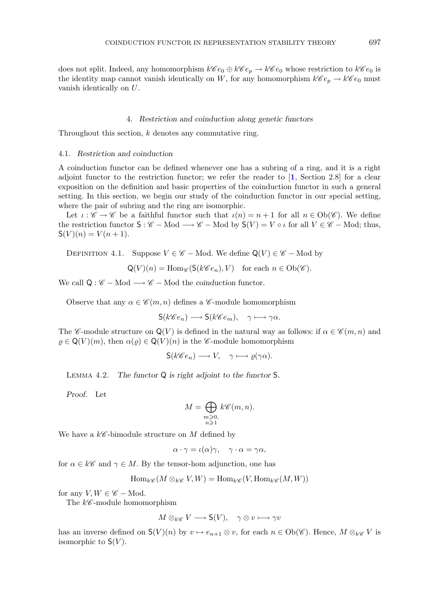does not split. Indeed, any homomorphism  $k\mathscr{C}e_0 \oplus k\mathscr{C}e_p \to k\mathscr{C}e_0$  whose restriction to  $k\mathscr{C}e_0$  is the identity map cannot vanish identically on W, for any homomorphism  $k\mathscr{C}e_p \to k\mathscr{C}e_0$  must vanish identically on U.

## 4. *Restriction and coinduction along genetic functors*

Throughout this section,  $k$  denotes any commutative ring.

## 4.1. *Restriction and coinduction*

A coinduction functor can be defined whenever one has a subring of a ring, and it is a right adjoint functor to the restriction functor; we refer the reader to [**[1](#page-21-15)**, Section 2.8] for a clear exposition on the definition and basic properties of the coinduction functor in such a general setting. In this section, we begin our study of the coinduction functor in our special setting, where the pair of subring and the ring are isomorphic.

Let  $\iota : \mathscr{C} \to \mathscr{C}$  be a faithful functor such that  $\iota(n) = n + 1$  for all  $n \in Ob(\mathscr{C})$ . We define the restriction functor  $S : \mathscr{C} - Mod \longrightarrow \mathscr{C} - Mod$  by  $S(V) = V \circ \iota$  for all  $V \in \mathscr{C} - Mod$ ; thus,  $S(V)(n) = V(n+1)$ .

DEFINITION 4.1. Suppose  $V \in \mathscr{C}$  – Mod. We define  $\mathsf{Q}(V) \in \mathscr{C}$  – Mod by

$$
Q(V)(n) = \text{Hom}_{\mathscr{C}}(\mathsf{S}(k\mathscr{C}e_n), V) \quad \text{for each } n \in \text{Ob}(\mathscr{C}).
$$

We call  $Q: \mathscr{C} - Mod \longrightarrow \mathscr{C} - Mod$  the *coinduction* functor.

Observe that any  $\alpha \in \mathscr{C}(m,n)$  defines a  $\mathscr{C}$ -module homomorphism

$$
\mathsf{S}(k\mathscr{C}e_n)\longrightarrow \mathsf{S}(k\mathscr{C}e_m),\quad \gamma\longmapsto \gamma\alpha.
$$

The *C*-module structure on  $Q(V)$  is defined in the natural way as follows: if  $\alpha \in \mathscr{C}(m,n)$  and  $\rho \in \mathsf{Q}(V)(m)$ , then  $\alpha(\rho) \in \mathsf{Q}(V)(n)$  is the *C*-module homomorphism

$$
\mathsf{S}(k\mathscr{C}e_n)\longrightarrow V, \quad \gamma\longmapsto \varrho(\gamma\alpha).
$$

<span id="page-8-0"></span>Lemma 4.2. *The functor* Q *is right adjoint to the functor* S*.*

*Proof.* Let

$$
M = \bigoplus_{\substack{m \ge 0, \\ n \ge 1}} k\mathscr{C}(m, n).
$$

We have a k*<sup>C</sup>* -bimodule structure on M defined by

$$
\alpha \cdot \gamma = \iota(\alpha)\gamma, \quad \gamma \cdot \alpha = \gamma\alpha,
$$

for  $\alpha \in k\mathscr{C}$  and  $\gamma \in M$ . By the tensor-hom adjunction, one has

$$
\operatorname{Hom}_{k\mathscr{C}}(M \otimes_{k\mathscr{C}} V, W) = \operatorname{Hom}_{k\mathscr{C}}(V, \operatorname{Hom}_{k\mathscr{C}}(M, W))
$$

for any  $V, W \in \mathscr{C}$  – Mod.

The  $k\mathscr{C}$ -module homomorphism

$$
M \otimes_{k\mathscr{C}} V \longrightarrow \mathsf{S}(V), \quad \gamma \otimes v \longmapsto \gamma v
$$

has an inverse defined on  $S(V)(n)$  by  $v \mapsto e_{n+1} \otimes v$ , for each  $n \in Ob(\mathscr{C})$ . Hence,  $M \otimes_{k\mathscr{C}} V$  is isomorphic to  $S(V)$ .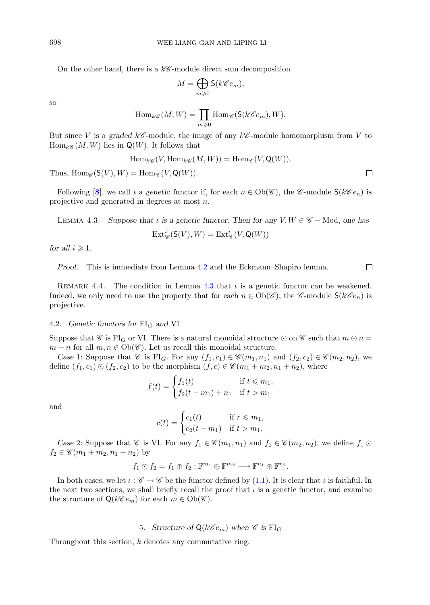On the other hand, there is a  $k\mathscr{C}$ -module direct sum decomposition

$$
M = \bigoplus_{m \geqslant 0} \mathsf{S}(k \mathscr{C}e_m),
$$

so

$$
\operatorname{Hom}_{k\mathscr{C}}(M,W)=\prod_{m\geqslant 0}\operatorname{Hom}_{\mathscr{C}}(\mathsf{S}(k\mathscr{C}e_m),W).
$$

But since V is a graded  $k\mathscr{C}$ -module, the image of any  $k\mathscr{C}$ -module homomorphism from V to  $Hom_{k\mathscr{C}}(M|W)$  lies in  $\mathcal{O}(W)$ . It follows that  $\text{Hom}_{k\mathscr{C}}(M,W)$  lies in  $\mathsf{Q}(W)$ . It follows that

$$
\operatorname{Hom}_{k\mathscr{C}}(V, \operatorname{Hom}_{k\mathscr{C}}(M, W)) = \operatorname{Hom}_{\mathscr{C}}(V, \mathsf{Q}(W)).
$$

Thus,  $\text{Hom}_{\mathscr{C}}(\mathsf{S}(V), W) = \text{Hom}_{\mathscr{C}}(V, \mathsf{Q}(W)).$ 

<span id="page-9-1"></span>Following  $[8]$  $[8]$  $[8]$ , we call  $\iota$  a *genetic* functor if, for each  $n \in Ob(\mathscr{C})$ , the  $\mathscr{C}\text{-module }S(k\mathscr{C}e_n)$  is projective and generated in degrees at most n.

LEMMA 4.3. *Suppose that*  $\iota$  *is a genetic functor. Then for any*  $V, W \in \mathscr{C}$  – Mod, *one has* 

$$
\operatorname{Ext}_{\mathscr{C}}^i(\mathsf{S}(V), W) = \operatorname{Ext}_{\mathscr{C}}^i(V, \mathsf{Q}(W))
$$

for all  $i \geqslant 1$ .

*Proof.* This is immediate from Lemma [4.2](#page-8-0) and the Eckmann–Shapiro lemma.

REMARK 4.4. The condition in Lemma [4.3](#page-9-1) that  $\iota$  is a genetic functor can be weakened. Indeed, we only need to use the property that for each  $n \in Ob(\mathscr{C})$ , the *C*-module  $S(k\mathscr{C}e_n)$  is projective.

#### 4.2. *Genetic functors for*  $FI_G$  *and* VI

Suppose that *C* is FI<sub>G</sub> or VI. There is a natural monoidal structure  $\odot$  on *C* such that  $m \odot n =$  $m + n$  for all  $m, n \in Ob(\mathscr{C})$ . Let us recall this monoidal structure.

*Case* 1: Suppose that *C* is FI<sub>G</sub>. For any  $(f_1, c_1) \in \mathcal{C}(m_1, n_1)$  and  $(f_2, c_2) \in \mathcal{C}(m_2, n_2)$ , we define  $(f_1, c_1) \odot (f_2, c_2)$  to be the morphism  $(f, c) \in \mathscr{C}(m_1 + m_2, n_1 + n_2)$ , where

$$
f(t) = \begin{cases} f_1(t) & \text{if } t \le m_1, \\ f_2(t - m_1) + n_1 & \text{if } t > m_1 \end{cases}
$$

and

$$
c(t) = \begin{cases} c_1(t) & \text{if } r \leq m_1, \\ c_2(t - m_1) & \text{if } t > m_1. \end{cases}
$$

*Case* 2: Suppose that *C* is VI. For any  $f_1 \in \mathcal{C}(m_1, n_1)$  and  $f_2 \in \mathcal{C}(m_2, n_2)$ , we define  $f_1 \odot$  $f_2 \in \mathscr{C}(m_1 + m_2, n_1 + n_2)$  by

$$
f_1 \odot f_2 = f_1 \oplus f_2 : \mathbb{F}^{m_1} \oplus \mathbb{F}^{m_2} \longrightarrow \mathbb{F}^{n_1} \oplus \mathbb{F}^{n_2}.
$$

In both cases, we let  $\iota : \mathscr{C} \to \mathscr{C}$  be the functor defined by [\(1.1\)](#page-1-4). It is clear that  $\iota$  is faithful. In the next two sections, we shall briefly recall the proof that  $\iota$  is a genetic functor, and examine the structure of  $\mathsf{Q}(k\mathscr{C}e_m)$  for each  $m \in \mathrm{Ob}(\mathscr{C})$ .

## 5. *Structure of*  $Q(k\mathscr{C}e_m)$  when  $\mathscr{C}$  *is*  $FI_G$

<span id="page-9-0"></span>Throughout this section,  $k$  denotes any commutative ring.

 $\Box$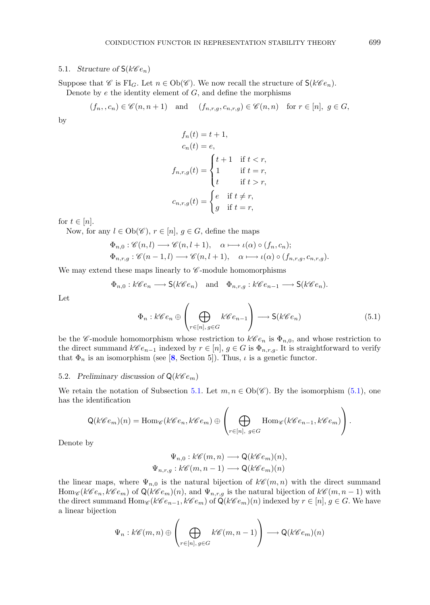## <span id="page-10-0"></span>5.1. *Structure of*  $S(k\mathscr{C}e_n)$

Suppose that *C* is FI<sub>G</sub>. Let  $n \in Ob(\mathscr{C})$ . We now recall the structure of  $\mathsf{S}(k\mathscr{C}e_n)$ .

Denote by  $e$  the identity element of  $G$ , and define the morphisms

$$
(f_n, c_n) \in \mathscr{C}(n, n+1)
$$
 and  $(f_{n,r,g}, c_{n,r,g}) \in \mathscr{C}(n,n)$  for  $r \in [n]$ ,  $g \in G$ ,

by

$$
f_n(t) = t + 1,
$$
  
\n
$$
c_n(t) = e,
$$
  
\n
$$
f_{n,r,g}(t) = \begin{cases} t + 1 & \text{if } t < r, \\ 1 & \text{if } t = r, \\ t & \text{if } t > r, \end{cases}
$$
  
\n
$$
c_{n,r,g}(t) = \begin{cases} e & \text{if } t \neq r, \\ g & \text{if } t = r, \end{cases}
$$

for  $t \in [n]$ .

Now, for any  $l \in Ob(\mathscr{C}), r \in [n], g \in G$ , define the maps

$$
\Phi_{n,0}: \mathscr{C}(n,l) \longrightarrow \mathscr{C}(n,l+1), \quad \alpha \longmapsto \iota(\alpha) \circ (f_n, c_n);
$$
  

$$
\Phi_{n,r,g}: \mathscr{C}(n-1,l) \longrightarrow \mathscr{C}(n,l+1), \quad \alpha \longmapsto \iota(\alpha) \circ (f_{n,r,g}, c_{n,r,g}).
$$

We may extend these maps linearly to  $\mathscr C$ -module homomorphisms

$$
\Phi_{n,0}: k\mathscr{C}e_n \longrightarrow \mathsf{S}(k\mathscr{C}e_n)
$$
 and  $\Phi_{n,r,g}: k\mathscr{C}e_{n-1} \longrightarrow \mathsf{S}(k\mathscr{C}e_n)$ .

Let

<span id="page-10-1"></span>
$$
\Phi_n : k\mathscr{C}e_n \oplus \left(\bigoplus_{r \in [n], g \in G} k\mathscr{C}e_{n-1}\right) \longrightarrow \mathsf{S}(k\mathscr{C}e_n) \tag{5.1}
$$

be the *C*-module homomorphism whose restriction to  $k\mathcal{C}e_n$  is  $\Phi_{n,0}$ , and whose restriction to the direct summand  $k\mathscr{C}e_{n-1}$  indexed by  $r \in [n], g \in G$  is  $\Phi_{n,r,q}$ . It is straightforward to verify that  $\Phi_n$  is an isomorphism (see [[8](#page-21-12), Section 5]). Thus,  $\iota$  is a genetic functor.

## <span id="page-10-2"></span>5.2. Preliminary discussion of  $\mathsf{Q}(k\mathscr{C}e_m)$

We retain the notation of Subsection [5.1.](#page-10-0) Let  $m, n \in Ob(\mathscr{C})$ . By the isomorphism [\(5.1\)](#page-10-1), one has the identification

$$
\mathsf{Q}(k\mathscr{C}e_m)(n) = \text{Hom}_{\mathscr{C}}(k\mathscr{C}e_n, k\mathscr{C}e_m) \oplus \left(\bigoplus_{r \in [n], \ g \in G} \text{Hom}_{\mathscr{C}}(k\mathscr{C}e_{n-1}, k\mathscr{C}e_m)\right).
$$

Denote by

$$
\Psi_{n,0}: k\mathscr{C}(m,n) \longrightarrow \mathsf{Q}(k\mathscr{C}e_m)(n),
$$
  

$$
\Psi_{n,r,g}: k\mathscr{C}(m,n-1) \longrightarrow \mathsf{Q}(k\mathscr{C}e_m)(n)
$$

the linear maps, where  $\Psi_{n,0}$  is the natural bijection of  $k\mathscr{C}(m,n)$  with the direct summand Hom<sub>*C*</sub> ( $k$ *C* e<sub>n</sub>,  $k$ *C* e<sub>m</sub>) of Q( $k$ <sup>*C*</sup> e<sub>m</sub>)(n), and  $\Psi_{n,r,g}$  is the natural bijection of  $k$ <sup>*C*</sup>(m, n - 1) with the direct summand  $\text{Hom}_{\mathscr{C}}(k\mathscr{C}e_{n-1}, k\mathscr{C}e_m)$  of  $\mathsf{Q}(k\mathscr{C}e_m)(n)$  indexed by  $r \in [n], g \in G$ . We have a linear bijection

$$
\Psi_n : k\mathscr{C}(m,n) \oplus \left( \bigoplus_{r \in [n], g \in G} k\mathscr{C}(m,n-1) \right) \longrightarrow \mathsf{Q}(k\mathscr{C}e_m)(n)
$$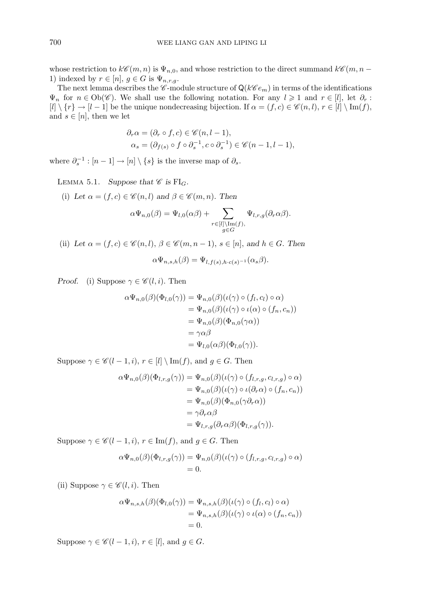whose restriction to  $k\mathscr{C}(m, n)$  is  $\Psi_{n,0}$ , and whose restriction to the direct summand  $k\mathscr{C}(m, n -$ 1) indexed by  $r \in [n]$ ,  $g \in G$  is  $\Psi_{n,r,g}$ .

The next lemma describes the  $\mathscr{C}$ -module structure of  $\mathsf{Q}(k\mathscr{C}e_m)$  in terms of the identifications  $\Psi_n$  for  $n \in \text{Ob}(\mathscr{C})$ . We shall use the following notation. For any  $l \geq 1$  and  $r \in [l]$ , let  $\partial_r : [l] \setminus \{r\} \to [l-1]$  be the unique nondecreasing bijection If  $\alpha = (f, c) \in \mathscr{C}(n, l)$ ,  $r \in [l] \setminus \text{Im}(f)$  $[l] \setminus \{r\} \to [l-1]$  be the unique nondecreasing bijection. If  $\alpha = (f, c) \in \mathscr{C}(n, l), r \in [l] \setminus \text{Im}(f),$ and  $s \in [n]$ , then we let

$$
\partial_r \alpha = (\partial_r \circ f, c) \in \mathscr{C}(n, l-1),
$$
  
\n
$$
\alpha_s = (\partial_{f(s)} \circ f \circ \partial_s^{-1}, c \circ \partial_s^{-1}) \in \mathscr{C}(n-1, l-1),
$$

<span id="page-11-0"></span>where  $\partial_{s}^{-1}$  :  $[n-1] \rightarrow [n] \setminus \{s\}$  is the inverse map of  $\partial_{s}$ .

LEMMA 5.1. *Suppose that*  $\mathscr C$  *is* FI<sub>G</sub>.

(i) Let  $\alpha = (f, c) \in \mathcal{C}(n, l)$  and  $\beta \in \mathcal{C}(m, n)$ . Then

$$
\alpha \Psi_{n,0}(\beta) = \Psi_{l,0}(\alpha \beta) + \sum_{\substack{r \in [l] \backslash \operatorname{Im}(f), \\ g \in G}} \Psi_{l,r,g}(\partial_r \alpha \beta).
$$

(ii) Let  $\alpha = (f, c) \in \mathscr{C}(n, l), \beta \in \mathscr{C}(m, n-1), s \in [n]$ , and  $h \in G$ . Then

$$
\alpha \Psi_{n,s,h}(\beta) = \Psi_{l,f(s),h\cdot c(s)^{-1}}(\alpha_s \beta)
$$

*Proof.* (i) Suppose  $\gamma \in \mathcal{C}(l, i)$ . Then

$$
\alpha \Psi_{n,0}(\beta)(\Phi_{l,0}(\gamma)) = \Psi_{n,0}(\beta)(\iota(\gamma) \circ (f_l, c_l) \circ \alpha)
$$
  
= 
$$
\Psi_{n,0}(\beta)(\iota(\gamma) \circ \iota(\alpha) \circ (f_n, c_n))
$$
  
= 
$$
\Psi_{n,0}(\beta)(\Phi_{n,0}(\gamma \alpha))
$$
  
= 
$$
\gamma \alpha \beta
$$
  
= 
$$
\Psi_{l,0}(\alpha \beta)(\Phi_{l,0}(\gamma)).
$$

Suppose  $\gamma \in \mathscr{C}(l-1,i)$ ,  $r \in [l] \setminus \text{Im}(f)$ , and  $g \in G$ . Then

$$
\alpha \Psi_{n,0}(\beta)(\Phi_{l,r,g}(\gamma)) = \Psi_{n,0}(\beta)(\iota(\gamma) \circ (f_{l,r,g}, c_{l,r,g}) \circ \alpha)
$$
  
= 
$$
\Psi_{n,0}(\beta)(\iota(\gamma) \circ \iota(\partial_r \alpha) \circ (f_n, c_n))
$$
  
= 
$$
\Psi_{n,0}(\beta)(\Phi_{n,0}(\gamma \partial_r \alpha))
$$
  
= 
$$
\gamma \partial_r \alpha \beta
$$
  
= 
$$
\Psi_{l,r,g}(\partial_r \alpha \beta)(\Phi_{l,r,g}(\gamma)).
$$

Suppose  $\gamma \in \mathscr{C}(l-1, i)$ ,  $r \in \text{Im}(f)$ , and  $g \in G$ . Then

$$
\alpha \Psi_{n,0}(\beta)(\Phi_{l,r,g}(\gamma)) = \Psi_{n,0}(\beta)(\iota(\gamma) \circ (f_{l,r,g}, c_{l,r,g}) \circ \alpha)
$$
  
= 0.

(ii) Suppose  $\gamma \in \mathscr{C}(l, i)$ . Then

$$
\alpha \Psi_{n,s,h}(\beta)(\Phi_{l,0}(\gamma)) = \Psi_{n,s,h}(\beta)(\iota(\gamma) \circ (f_l, c_l) \circ \alpha)
$$
  
= 
$$
\Psi_{n,s,h}(\beta)(\iota(\gamma) \circ \iota(\alpha) \circ (f_n, c_n))
$$
  
= 0.

Suppose  $\gamma \in \mathscr{C}(l-1, i)$ ,  $r \in [l]$ , and  $g \in G$ .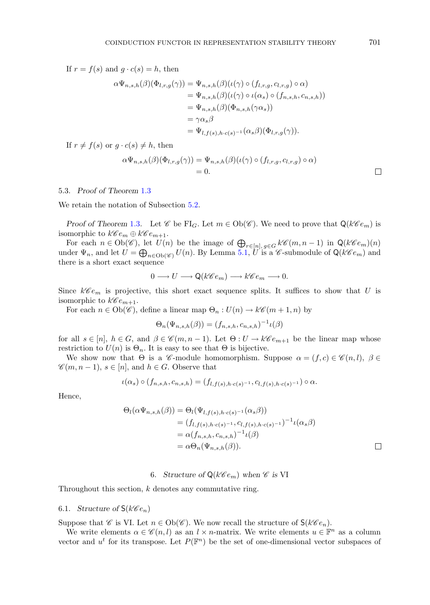If  $r = f(s)$  and  $g \cdot c(s) = h$ , then

$$
\alpha \Psi_{n,s,h}(\beta)(\Phi_{l,r,g}(\gamma)) = \Psi_{n,s,h}(\beta)(\iota(\gamma) \circ (f_{l,r,g}, c_{l,r,g}) \circ \alpha)
$$
  
=  $\Psi_{n,s,h}(\beta)(\iota(\gamma) \circ \iota(\alpha_s) \circ (f_{n,s,h}, c_{n,s,h}))$   
=  $\Psi_{n,s,h}(\beta)(\Phi_{n,s,h}(\gamma \alpha_s))$   
=  $\gamma \alpha_s \beta$   
=  $\Psi_{l,f(s),h \cdot c(s)^{-1}}(\alpha_s \beta)(\Phi_{l,r,g}(\gamma)).$ 

If  $r \neq f(s)$  or  $q \cdot c(s) \neq h$ , then

$$
\alpha \Psi_{n,s,h}(\beta)(\Phi_{l,r,g}(\gamma)) = \Psi_{n,s,h}(\beta)(\iota(\gamma) \circ (f_{l,r,g}, c_{l,r,g}) \circ \alpha)
$$
  
= 0.

#### 5.3. *Proof of Theorem* [1.3](#page-1-0)

We retain the notation of Subsection [5.2.](#page-10-2)

*Proof of Theorem* [1.3](#page-1-0). Let  $\mathscr C$  be FI<sub>G</sub>. Let  $m \in Ob(\mathscr C)$ . We need to prove that  $Q(k \mathscr C e_m)$  is isomorphic to  $k\mathscr{C}e_m \oplus k\mathscr{C}e_{m+1}$ .

For each  $n \in Ob(\mathscr{C})$ , let  $U(n)$  be the image of  $\bigoplus_{r \in [n], g \in G} k\mathscr{C}(m, n-1)$  in  $\mathsf{Q}(k\mathscr{C}e_m)(n)$ <br>der  $\Psi$  and let  $U = \bigoplus_{r \in [n]} U(n)$ . By Lemma 5.1  $U$  is a  $\mathscr{C}$ -submodule of  $\mathsf{O}(k\mathscr{C}e_n)$  and under  $\Psi_n$ , and let  $U = \bigoplus_{n \in \text{Ob}(\mathscr{C})} U(n)$ . By Lemma [5.1,](#page-11-0) U is a  $\mathscr{C}$ -submodule of  $\mathsf{Q}(k\mathscr{C}e_m)$  and there is a short exact sequence there is a short exact sequence

$$
0 \longrightarrow U \longrightarrow \mathsf{Q}(k\mathscr{C}e_m) \longrightarrow k\mathscr{C}e_m \longrightarrow 0.
$$

Since  $k\mathscr{C}e_m$  is projective, this short exact sequence splits. It suffices to show that U is isomorphic to  $k\mathscr{C}e_{m+1}$ .

For each  $n \in Ob(\mathscr{C})$ , define a linear map  $\Theta_n: U(n) \to k\mathscr{C}(m+1,n)$  by

$$
\Theta_n(\Psi_{n,s,h}(\beta)) = (f_{n,s,h}, c_{n,s,h})^{-1} \iota(\beta)
$$

for all  $s \in [n]$ ,  $h \in G$ , and  $\beta \in \mathscr{C}(m, n-1)$ . Let  $\Theta: U \to k\mathscr{C}e_{m+1}$  be the linear map whose restriction to  $U(n)$  is  $\Theta_n$ . It is easy to see that  $\Theta$  is bijective.

We show now that  $\Theta$  is a *C*-module homomorphism. Suppose  $\alpha = (f, c) \in \mathcal{C}(n, l)$ ,  $\beta \in$  $\mathscr{C}(m, n-1), s \in [n],$  and  $h \in G$ . Observe that

$$
\iota(\alpha_s) \circ (f_{n,s,h}, c_{n,s,h}) = (f_{l,f(s),h \cdot c(s)^{-1}}, c_{l,f(s),h \cdot c(s)^{-1}}) \circ \alpha.
$$

Hence,

$$
\Theta_l(\alpha\Psi_{n,s,h}(\beta)) = \Theta_l(\Psi_{l,f(s),h\cdot c(s)^{-1}}(\alpha_s\beta))
$$
  
=  $(f_{l,f(s),h\cdot c(s)^{-1}}, c_{l,f(s),h\cdot c(s)^{-1}})^{-1}\iota(\alpha_s\beta)$   
=  $\alpha(f_{n,s,h}, c_{n,s,h})^{-1}\iota(\beta)$   
=  $\alpha\Theta_n(\Psi_{n,s,h}(\beta)).$ 

## 6. *Structure of*  $Q(k\mathscr{C}e_m)$  *when*  $\mathscr{C}$  *is* VI

<span id="page-12-0"></span>Throughout this section,  $k$  denotes any commutative ring.

## <span id="page-12-1"></span>6.1. *Structure of*  $S(k\mathscr{C}e_n)$

Suppose that *C* is VI. Let  $n \in Ob(\mathscr{C})$ . We now recall the structure of  $\mathsf{S}(k\mathscr{C}e_n)$ .

We write elements  $\alpha \in \mathcal{C}(n, l)$  as an  $l \times n$ -matrix. We write elements  $u \in \mathbb{F}^n$  as a column vector and  $u^t$  for its transpose. Let  $P(\mathbb{F}^n)$  be the set of one-dimensional vector subspaces of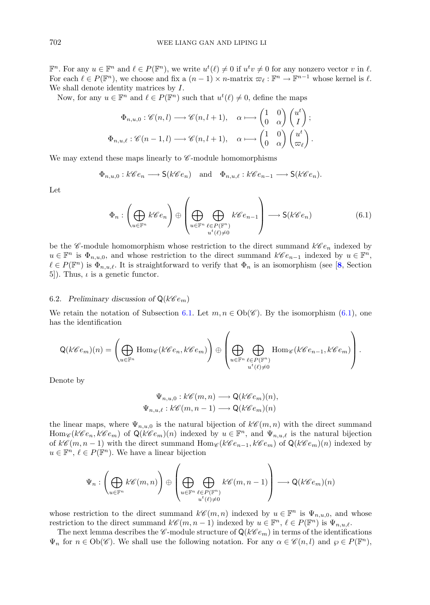$\mathbb{F}^n$ . For any  $u \in \mathbb{F}^n$  and  $\ell \in P(\mathbb{F}^n)$ , we write  $u^t(\ell) \neq 0$  if  $u^t v \neq 0$  for any nonzero vector v in  $\ell$ .<br>For each  $\ell \in P(\mathbb{F}^n)$  we choose and fix a  $(n-1) \times n$ -matrix  $\pi_i v \cdot \mathbb{F}^n \to \mathbb{F}^{n-1}$  For each  $\ell \in P(\mathbb{F}^n)$ , we choose and fix a  $(n-1) \times n$ -matrix  $\varpi_{\ell}: \mathbb{F}^n \to \mathbb{F}^{n-1}$  whose kernel is  $\ell$ . We shall denote identity matrices by I.

Now, for any  $u \in \mathbb{F}^n$  and  $\ell \in P(\mathbb{F}^n)$  such that  $u^t(\ell) \neq 0$ , define the maps

$$
\Phi_{n,u,0}: \mathscr{C}(n,l) \longrightarrow \mathscr{C}(n,l+1), \quad \alpha \longmapsto \begin{pmatrix} 1 & 0 \\ 0 & \alpha \end{pmatrix} \begin{pmatrix} u^t \\ I \end{pmatrix};
$$

$$
\Phi_{n,u,\ell}: \mathscr{C}(n-1,l) \longrightarrow \mathscr{C}(n,l+1), \quad \alpha \longmapsto \begin{pmatrix} 1 & 0 \\ 0 & \alpha \end{pmatrix} \begin{pmatrix} u^t \\ \varpi_\ell \end{pmatrix}.
$$

We may extend these maps linearly to *C*-module homomorphisms

$$
\Phi_{n,u,0}: k\mathscr{C}e_n \longrightarrow \mathsf{S}(k\mathscr{C}e_n) \text{ and } \Phi_{n,u,\ell}: k\mathscr{C}e_{n-1} \longrightarrow \mathsf{S}(k\mathscr{C}e_n).
$$

Let

<span id="page-13-0"></span>
$$
\Phi_n: \left(\bigoplus_{u \in \mathbb{F}^n} k \mathscr{C}e_n\right) \oplus \left(\bigoplus_{u \in \mathbb{F}^n} \bigoplus_{\substack{\ell \in P(\mathbb{F}^n) \\ u^t(\ell) \neq 0}} k \mathscr{C}e_{n-1}\right) \longrightarrow \mathsf{S}(k \mathscr{C}e_n) \tag{6.1}
$$

be the *C*-module homomorphism whose restriction to the direct summand  $k\mathscr{C}e_n$  indexed by  $u \in \mathbb{F}^n$  is  $\Phi_{n,u,0}$ , and whose restriction to the direct summand  $k\mathscr{C}e_{n-1}$  indexed by  $u \in \mathbb{F}^n$ ,  $\ell \in P(\mathbb{F}^n)$  is  $\Phi_{n,u,\ell}$ . It is straightforward to verify that  $\Phi_n$  is an isomorphism (see [[8](#page-21-12), Section 5]). Thus,  $\iota$  is a genetic functor.

#### <span id="page-13-1"></span>6.2. Preliminary discussion of  $Q(k\mathscr{C}e_m)$

We retain the notation of Subsection [6.1.](#page-12-1) Let  $m, n \in Ob(\mathscr{C})$ . By the isomorphism [\(6.1\)](#page-13-0), one has the identification

$$
\mathsf{Q}(k\mathscr{C}e_m)(n) = \left(\bigoplus_{u \in \mathbb{F}^n} \mathrm{Hom}_{\mathscr{C}}(k\mathscr{C}e_n, k\mathscr{C}e_m)\right) \oplus \left(\bigoplus_{\substack{u \in \mathbb{F}^n}} \bigoplus_{\substack{\ell \in P(\mathbb{F}^n) \\ u^t(\ell) \neq 0}} \mathrm{Hom}_{\mathscr{C}}(k\mathscr{C}e_{n-1}, k\mathscr{C}e_m)\right).
$$

Denote by

$$
\Psi_{n,u,0}: k\mathscr{C}(m,n) \longrightarrow \mathsf{Q}(k\mathscr{C}e_m)(n),
$$
  

$$
\Psi_{n,u,\ell}: k\mathscr{C}(m,n-1) \longrightarrow \mathsf{Q}(k\mathscr{C}e_m)(n)
$$

the linear maps, where  $\Psi_{n,u,0}$  is the natural bijection of  $k\mathscr{C}(m,n)$  with the direct summand  $\text{Hom}_{\mathscr{C}}(k\mathscr{C}e_n, k\mathscr{C}e_m)$  of  $\mathsf{Q}(k\mathscr{C}e_m)(n)$  indexed by  $u \in \mathbb{F}^n$ , and  $\Psi_{n,u,\ell}$  is the natural bijection of  $k\mathscr{C}(m, n-1)$  with the direct summand  $\text{Hom}_{\mathscr{C}}(k\mathscr{C}e_{n-1}, k\mathscr{C}e_m)$  of  $\mathsf{Q}(k\mathscr{C}e_m)(n)$  indexed by  $u \in \mathbb{F}^n$ ,  $\ell \in P(\mathbb{F}^n)$ . We have a linear bijection

$$
\Psi_n: \left(\bigoplus_{u \in \mathbb{F}^n} k \mathscr{C}(m,n)\right) \oplus \left(\bigoplus_{\substack{u \in \mathbb{F}^n}} \bigoplus_{\substack{\ell \in P(\mathbb{F}^n) \\ u^t(\ell) \neq 0}} k \mathscr{C}(m,n-1)\right) \longrightarrow \mathsf{Q}(k \mathscr{C}e_m)(n)
$$

whose restriction to the direct summand  $k\mathscr{C}(m,n)$  indexed by  $u \in \mathbb{F}^n$  is  $\Psi_{n,u,0}$ , and whose restriction to the direct summand  $k\mathscr{C}(m, n-1)$  indexed by  $u \in \mathbb{F}^n$ ,  $\ell \in P(\mathbb{F}^n)$  is  $\Psi_{n,u,\ell}$ .

The next lemma describes the  $\mathscr{C}\text{-module structure of }Q(k\mathscr{C}e_m)$  in terms of the identifications  $\Psi_n$  for  $n \in Ob(\mathscr{C})$ . We shall use the following notation. For any  $\alpha \in \mathscr{C}(n,l)$  and  $\wp \in P(\mathbb{F}^n)$ ,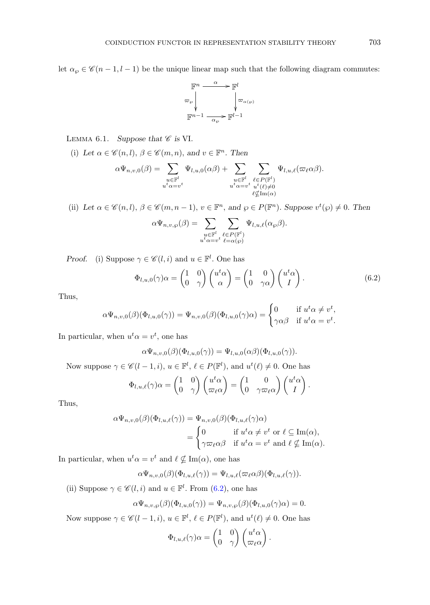let  $\alpha_{\wp} \in \mathscr{C}(n-1, l-1)$  be the unique linear map such that the following diagram commutes:



LEMMA 6.1. *Suppose that*  $\mathscr C$  *is* VI.

(i) Let  $\alpha \in \mathscr{C}(n, l)$ ,  $\beta \in \mathscr{C}(m, n)$ , and  $v \in \mathbb{F}^n$ . Then

$$
\alpha \Psi_{n,v,0}(\beta) = \sum_{\substack{u \in \mathbb{F}^l \\ u^t \alpha = v^t}} \Psi_{l,u,0}(\alpha \beta) + \sum_{\substack{u \in \mathbb{F}^l \\ u^t \alpha = v^t}} \sum_{\substack{\ell \in P(\mathbb{F}^l) \\ u^t \ell(\ell) \neq 0 \\ \ell \nsubseteq \text{Im}(\alpha)}} \Psi_{l,u,\ell}(\varpi_{\ell} \alpha \beta).
$$

(ii) Let  $\alpha \in \mathscr{C}(n, l)$ ,  $\beta \in \mathscr{C}(m, n - 1)$ ,  $v \in \mathbb{F}^n$ , and  $\wp \in P(\mathbb{F}^n)$ . Suppose  $v^t(\wp) \neq 0$ . Then

$$
\alpha \Psi_{n,v,\wp}(\beta) = \sum_{\substack{u \in \mathbb{F}^l \\ u^t \alpha = v^t}} \sum_{\substack{\ell \in P(\mathbb{F}^l) \\ \ell = \alpha(\wp)}} \Psi_{l,u,\ell}(\alpha_{\wp}\beta).
$$

*Proof.* (i) Suppose  $\gamma \in \mathcal{C}(l, i)$  and  $u \in \mathbb{F}^l$ . One has

<span id="page-14-0"></span>
$$
\Phi_{l,u,0}(\gamma)\alpha = \begin{pmatrix} 1 & 0 \\ 0 & \gamma \end{pmatrix} \begin{pmatrix} u^t \alpha \\ \alpha \end{pmatrix} = \begin{pmatrix} 1 & 0 \\ 0 & \gamma \alpha \end{pmatrix} \begin{pmatrix} u^t \alpha \\ I \end{pmatrix}.
$$
 (6.2)

Thus,

$$
\alpha \Psi_{n,v,0}(\beta)(\Phi_{l,u,0}(\gamma)) = \Psi_{n,v,0}(\beta)(\Phi_{l,u,0}(\gamma)\alpha) = \begin{cases} 0 & \text{if } u^t \alpha \neq v^t, \\ \gamma \alpha \beta & \text{if } u^t \alpha = v^t. \end{cases}
$$

In particular, when  $u^t \alpha = v^t$ , one has

$$
\alpha\Psi_{n,v,0}(\beta)(\Phi_{l,u,0}(\gamma))=\Psi_{l,u,0}(\alpha\beta)(\Phi_{l,u,0}(\gamma)).
$$

Now suppose  $\gamma \in \mathscr{C}(l-1,i)$ ,  $u \in \mathbb{F}^l$ ,  $\ell \in P(\mathbb{F}^l)$ , and  $u^t(\ell) \neq 0$ . One has

$$
\Phi_{l,u,\ell}(\gamma)\alpha = \begin{pmatrix} 1 & 0 \\ 0 & \gamma \end{pmatrix} \begin{pmatrix} u^t \alpha \\ \varpi_{\ell} \alpha \end{pmatrix} = \begin{pmatrix} 1 & 0 \\ 0 & \gamma \varpi_{\ell} \alpha \end{pmatrix} \begin{pmatrix} u^t \alpha \\ I \end{pmatrix}.
$$

Thus,

$$
\alpha \Psi_{n,v,0}(\beta)(\Phi_{l,u,\ell}(\gamma)) = \Psi_{n,v,0}(\beta)(\Phi_{l,u,\ell}(\gamma)\alpha)
$$
  
= 
$$
\begin{cases} 0 & \text{if } u^t \alpha \neq v^t \text{ or } \ell \subseteq \text{Im}(\alpha), \\ \gamma \varpi_{\ell} \alpha \beta & \text{if } u^t \alpha = v^t \text{ and } \ell \nsubseteq \text{Im}(\alpha). \end{cases}
$$

In particular, when  $u^t \alpha = v^t$  and  $\ell \nsubseteq \text{Im}(\alpha)$ , one has

$$
\alpha \Psi_{n,v,0}(\beta)(\Phi_{l,u,\ell}(\gamma)) = \Psi_{l,u,\ell}(\varpi_{\ell}\alpha\beta)(\Phi_{l,u,\ell}(\gamma)).
$$

(ii) Suppose  $\gamma \in \mathscr{C}(l, i)$  and  $u \in \mathbb{F}^l$ . From [\(6.2\)](#page-14-0), one has

$$
\alpha \Psi_{n,v,\wp}(\beta)(\Phi_{l,u,0}(\gamma)) = \Psi_{n,v,\wp}(\beta)(\Phi_{l,u,0}(\gamma)\alpha) = 0.
$$

Now suppose  $\gamma \in \mathscr{C}(l-1,i)$ ,  $u \in \mathbb{F}^l$ ,  $\ell \in P(\mathbb{F}^l)$ , and  $u^t(\ell) \neq 0$ . One has

$$
\Phi_{l,u,\ell}(\gamma)\alpha = \begin{pmatrix} 1 & 0 \\ 0 & \gamma \end{pmatrix} \begin{pmatrix} u^t \alpha \\ \varpi_\ell \alpha \end{pmatrix}.
$$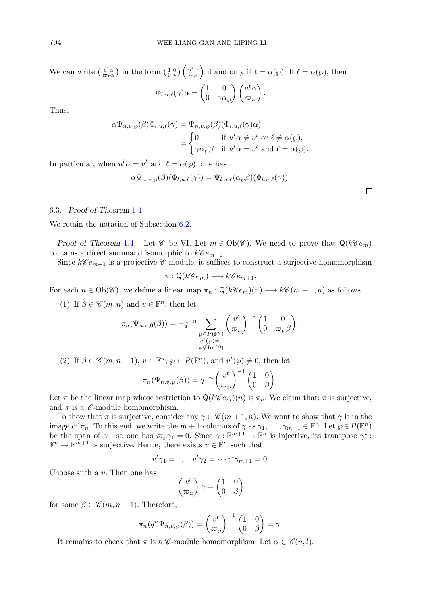We can write  $\left(\begin{array}{c} u^t \alpha \\ \overline{\omega}_\ell \alpha \end{array}\right)$  in the form  $\left(\begin{array}{c} 1 & 0 \\ 0 & \ast \end{array}\right) \left(\begin{array}{c} u^t \alpha \\ \overline{\omega}_\wp \end{array}\right)$  if and only if  $\ell = \alpha(\wp)$ . If  $\ell = \alpha(\wp)$ , then

$$
\Phi_{l,u,\ell}(\gamma)\alpha = \begin{pmatrix} 1 & 0 \\ 0 & \gamma\alpha_{\wp} \end{pmatrix} \begin{pmatrix} u^t \alpha \\ \varpi_{\wp} \end{pmatrix}.
$$

Thus,

$$
\alpha \Psi_{n,v,\wp}(\beta) \Phi_{l,u,\ell}(\gamma) = \Psi_{n,v,\wp}(\beta) (\Phi_{l,u,\ell}(\gamma) \alpha)
$$
  
= 
$$
\begin{cases} 0 & \text{if } u^t \alpha \neq v^t \text{ or } \ell \neq \alpha(\wp), \\ \gamma \alpha_{\wp} \beta & \text{if } u^t \alpha = v^t \text{ and } \ell = \alpha(\wp). \end{cases}
$$

In particular, when  $u^t \alpha = v^t$  and  $\ell = \alpha(\wp)$ , one has

$$
\alpha \Psi_{n,v,\wp}(\beta)(\Phi_{l,u,\ell}(\gamma)) = \Psi_{l,u,\ell}(\alpha_{\wp}\beta)(\Phi_{l,u,\ell}(\gamma)).
$$

## 6.3. *Proof of Theorem* [1.4](#page-1-1)

We retain the notation of Subsection [6.2.](#page-13-1)

*Proof of Theorem* [1.4](#page-1-1). Let  $\mathscr C$  be VI. Let  $m \in Ob(\mathscr C)$ . We need to prove that  $Q(k\mathscr C e_m)$ contains a direct summand isomorphic to  $k\mathscr{C}e_{m+1}$ .

Since  $k\mathscr{C}e_{m+1}$  is a projective  $\mathscr{C}$ -module, it suffices to construct a surjective homomorphism

$$
\pi: \mathsf{Q}(k\mathscr{C}e_m) \longrightarrow k\mathscr{C}e_{m+1}.
$$

For each  $n \in Ob(\mathscr{C})$ , we define a linear map  $\pi_n : Q(k\mathscr{C}e_m)(n) \longrightarrow k\mathscr{C}(m+1,n)$  as follows.

(1) If  $\beta \in \mathscr{C}(m, n)$  and  $v \in \mathbb{F}^n$ , then let

$$
\pi_n(\Psi_{n,v,0}(\beta)) = -q^{-n} \sum_{\substack{\wp \in P(\mathbb{F}^n) \\ v^t(\wp) \neq 0 \\ \wp \not\subseteq \text{Im}(\beta)}} \binom{v^t}{\varpi_{\wp}}^{-1} \begin{pmatrix} 1 & 0 \\ 0 & \varpi_{\wp} \beta \end{pmatrix}.
$$

(2) If  $\beta \in \mathscr{C}(m, n-1)$ ,  $v \in \mathbb{F}^n$ ,  $\wp \in P(\mathbb{F}^n)$ , and  $v^t(\wp) \neq 0$ , then let

$$
\pi_n(\Psi_{n,v,\wp}(\beta)) = q^{-n} \begin{pmatrix} v^t \\ \varpi_{\wp} \end{pmatrix}^{-1} \begin{pmatrix} 1 & 0 \\ 0 & \beta \end{pmatrix}.
$$

Let  $\pi$  be the linear map whose restriction to  $\mathsf{Q}(k\mathscr{C}e_m)(n)$  is  $\pi_n$ . We claim that:  $\pi$  is surjective, and  $\pi$  is a  $\mathscr C$ -module homomorphism.

To show that  $\pi$  is surjective, consider any  $\gamma \in \mathcal{C}(m+1,n)$ . We want to show that  $\gamma$  is in the image of  $\pi_n$ . To this end, we write the  $m + 1$  columns of  $\gamma$  as  $\gamma_1, \ldots, \gamma_{m+1} \in \mathbb{F}^n$ . Let  $\wp \in P(\mathbb{F}^n)$ <br>be the span of  $\gamma_1$ , so one has  $\pi$ ,  $\gamma_1 = 0$ . Since  $\gamma_1 \cdot \mathbb{F}^{m+1} \to \mathbb{F}^n$  is injective it be the span of  $\gamma_1$ ; so one has  $\varpi_{\wp}\gamma_1 = 0$ . Since  $\gamma : \mathbb{F}^{m+1} \to \mathbb{F}^n$  is injective, its transpose  $\gamma^t : \mathbb{F}^m \to \mathbb{F}^{m+1}$  is surjective. Hence there exists  $v \in \mathbb{F}^n$  such that  $\mathbb{F}^n \to \mathbb{F}^{m+1}$  is surjective. Hence, there exists  $v \in \mathbb{F}^n$  such that

$$
v^t \gamma_1 = 1, \quad v^t \gamma_2 = \cdots v^t \gamma_{m+1} = 0.
$$

Choose such a v. Then one has

$$
\begin{pmatrix} v^t \\ \varpi_\wp \end{pmatrix} \gamma = \begin{pmatrix} 1 & 0 \\ 0 & \beta \end{pmatrix}
$$

for some  $\beta \in \mathscr{C}(m, n-1)$ . Therefore,

$$
\pi_n(q^n \Psi_{n,v,\wp}(\beta)) = \begin{pmatrix} v^t \\ \varpi_{\wp} \end{pmatrix}^{-1} \begin{pmatrix} 1 & 0 \\ 0 & \beta \end{pmatrix} = \gamma.
$$

It remains to check that  $\pi$  is a *C*-module homomorphism. Let  $\alpha \in \mathcal{C}(n, l)$ .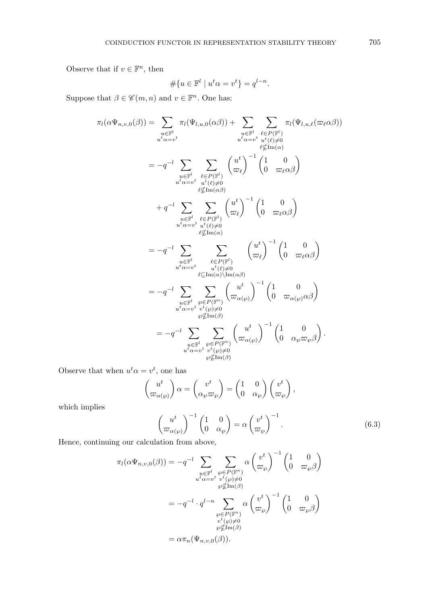Observe that if  $v \in \mathbb{F}^n$ , then  $\sharp$ 

$$
\#\{u \in \mathbb{F}^l \mid u^t \alpha = v^t\} = q^{l-n}.
$$

Suppose that  $\beta \in \mathscr{C}(m, n)$  and  $v \in \mathbb{F}^n$ . One has:

$$
\pi_{l}(\alpha\Psi_{n,v,0}(\beta)) = \sum_{\substack{u \in \mathbb{F}^l \\ u^t \alpha = v^t}} \pi_{l}(\Psi_{l,u,0}(\alpha\beta)) + \sum_{\substack{u \in \mathbb{F}^l \\ v^t \alpha = v^t \\ u^t \alpha = v^t}} \sum_{\substack{u \in \mathbb{F}^l \\ v^t \beta = \mu(\alpha) \\ v^t \alpha = v^t}} \pi_{l}(\Psi_{l,u,\ell}(\varpi_{\ell\alpha\beta}))
$$
\n
$$
= -q^{-l} \sum_{\substack{u \in \mathbb{F}^l \\ v^t \beta = \mu(\alpha\beta) \\ v^t \alpha = v^t}} \sum_{\substack{u^t \in P(\mathbb{F}^l) \\ v^t \beta = \mu(\alpha\beta) \\ v^t \alpha = v^t}} \binom{u^t}{\varpi_{\ell\alpha\beta}}^{-1} \binom{1}{0} \frac{0}{\varpi_{\ell\alpha\beta}} \binom{0}{\varpi_{\ell\alpha\beta}}^{-1}
$$
\n
$$
+ q^{-l} \sum_{\substack{u \in \mathbb{F}^l \\ u^t \alpha = v^t}} \sum_{\substack{u^t \in P(\mathbb{F}^l) \\ v^t \beta = \mu(\alpha\beta) \\ v^t \alpha = v^t}} \binom{u^t}{\varpi_{\ell\alpha\beta}}^{-1} \binom{1}{0} \frac{0}{\varpi_{\ell\alpha\beta}} \binom{0}{\varpi_{\ell\alpha\beta}}^{-1}
$$
\n
$$
= -q^{-l} \sum_{\substack{u \in \mathbb{F}^l \\ v^t \beta = \mu(\alpha\beta) \\ u^t \alpha = v^t}} \sum_{\substack{v^t \in P(\mathbb{F}^n) \\ v^t \beta = \mu(\alpha\beta) \\ v^t \beta = \mu(\alpha\beta)}} \binom{u^t}{\varpi_{\alpha(v)}}^{-1} \binom{1}{0} \frac{0}{\varpi_{\alpha(v)}\alpha\beta}
$$
\n
$$
= -q^{-l} \sum_{\substack{u \in \mathbb{F}^l \\ v^t \beta = \mu(\alpha\beta) \\ v^t \alpha = v^t}} \sum_{\substack{v^t \in P(\mathbb{F}^n) \\ v^t \beta = \mu(\alpha\beta) \\ v^t \beta = \mu(\alpha\beta)}}
$$

Observe that when  $u^t \alpha = v^t$ , one has

$$
\begin{pmatrix} u^t \\ \overline{\omega}_{\alpha(\wp)} \end{pmatrix} \alpha = \begin{pmatrix} v^t \\ \alpha_\wp \overline{\omega}_{\wp} \end{pmatrix} = \begin{pmatrix} 1 & 0 \\ 0 & \alpha_{\wp} \end{pmatrix} \begin{pmatrix} v^t \\ \overline{\omega}_{\wp} \end{pmatrix},
$$

which implies

$$
\begin{pmatrix} u^t \\ \overline{\omega}_{\alpha(\wp)} \end{pmatrix}^{-1} \begin{pmatrix} 1 & 0 \\ 0 & \alpha_{\wp} \end{pmatrix} = \alpha \begin{pmatrix} v^t \\ \overline{\omega}_{\wp} \end{pmatrix}^{-1}.
$$
 (6.3)

Hence, continuing our calculation from above,

$$
\pi_l(\alpha \Psi_{n,v,0}(\beta)) = -q^{-l} \sum_{\substack{u \in \mathbb{F}^l \\ u^t \alpha = v^t \ v^t(\wp) \neq 0}} \sum_{\substack{\varphi \in P(\mathbb{F}^n) \\ \varphi \nsubseteq \text{Im}(\beta) \\ \varphi \in P(\mathbb{F}^n) \\ v^t(\wp) \neq 0}} \alpha \left(\frac{v^t}{\varpi_{\varphi}}\right)^{-1} \begin{pmatrix} 1 & 0 \\ 0 & \varpi_{\varphi}\beta \end{pmatrix}
$$

$$
= -q^{-l} \cdot q^{l-n} \sum_{\substack{\varphi \in P(\mathbb{F}^n) \\ v^t(\varphi) \neq 0 \\ \varphi \nsubseteq \text{Im}(\beta) \\ \varphi \nsubseteq \text{Im}(\beta)}} \alpha \left(\frac{v^t}{\varpi_{\varphi}}\right)^{-1} \begin{pmatrix} 1 & 0 \\ 0 & \varpi_{\varphi}\beta \end{pmatrix}
$$

$$
= \alpha \pi_n(\Psi_{n,v,0}(\beta)).
$$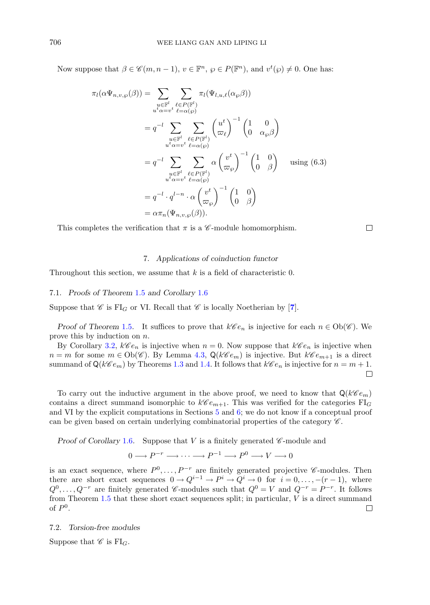Now suppose that  $\beta \in \mathscr{C}(m, n-1)$ ,  $v \in \mathbb{F}^n$ ,  $\wp \in P(\mathbb{F}^n)$ , and  $v^t(\wp) \neq 0$ . One has:

$$
\pi_l(\alpha \Psi_{n,v,\wp}(\beta)) = \sum_{\substack{u \in \mathbb{F}^l \\ u^t \alpha = v^t}} \sum_{\substack{\ell \in P(\mathbb{F}^l) \\ \ell = \alpha(\wp)}} \pi_l(\Psi_{l,u,\ell}(\alpha_{\wp}\beta))
$$

$$
= q^{-l} \sum_{\substack{u \in \mathbb{F}^l \\ u^t \alpha = v^t}} \sum_{\substack{\ell \in P(\mathbb{F}^l) \\ \ell = \alpha(\wp)}} \binom{u^t}{\varpi_\ell}^{-1} \binom{1}{0} \frac{0}{\alpha_{\wp}\beta}
$$

$$
= q^{-l} \sum_{\substack{u \in \mathbb{F}^l \\ u^t \alpha = v^t}} \sum_{\substack{\ell \in P(\mathbb{F}^l) \\ \ell = \alpha(\wp)}} \alpha \binom{v^t}{\varpi_\wp}^{-1} \binom{1}{0} \frac{0}{\beta} \quad \text{using (6.3)}
$$

$$
= q^{-l} \cdot q^{l-n} \cdot \alpha \binom{v^t}{\varpi_\wp}^{-1} \binom{1}{0} \frac{0}{\beta}
$$

$$
= \alpha \pi_n(\Psi_{n,v,\wp}(\beta)).
$$

<span id="page-17-0"></span>This completes the verification that  $\pi$  is a  $\mathscr{C}\text{-module homomorphism.}$ 

 $\Box$ 

#### 7. *Applications of coinduction functor*

Throughout this section, we assume that  $k$  is a field of characteristic 0.

7.1. *Proofs of Theorem* [1.5](#page-1-2) *and Corollary* [1.6](#page-1-3)

Suppose that  $\mathscr{C}$  is FI<sub>G</sub> or VI. Recall that  $\mathscr{C}$  is locally Noetherian by [[7](#page-21-6)].

*Proof of Theorem* [1.5](#page-1-2). It suffices to prove that  $k\mathcal{C}e_n$  is injective for each  $n \in Ob(\mathcal{C})$ . We prove this by induction on n.

By Corollary [3.2,](#page-7-2)  $k\mathscr{C}e_n$  is injective when  $n = 0$ . Now suppose that  $k\mathscr{C}e_n$  is injective when  $n = m$  for some  $m \in Ob(\mathscr{C})$ . By Lemma [4.3,](#page-9-1)  $\mathsf{Q}(k\mathscr{C}e_m)$  is injective. But  $k\mathscr{C}e_{m+1}$  is a direct summand of  $\mathsf{Q}(k\mathscr{C}e_m)$  by Theorems [1.3](#page-1-0) and [1.4.](#page-1-1) It follows that  $k\mathscr{C}e_n$  is injective for  $n = m + 1$ .

To carry out the inductive argument in the above proof, we need to know that  $\mathsf{Q}(\mathcal{K}\mathcal{C}e_m)$ contains a direct summand isomorphic to  $k\mathscr{C} e_{m+1}$ . This was verified for the categories FI<sub>G</sub> and VI by the explicit computations in Sections [5](#page-9-0) and [6;](#page-12-0) we do not know if a conceptual proof can be given based on certain underlying combinatorial properties of the category *C* .

*Proof of Corollary* [1.6](#page-1-3). Suppose that V is a finitely generated *C*-module and

$$
0 \longrightarrow P^{-r} \longrightarrow \cdots \longrightarrow P^{-1} \longrightarrow P^{0} \longrightarrow V \longrightarrow 0
$$

is an exact sequence, where  $P^0, \ldots, P^{-r}$  are finitely generated projective *C*-modules. Then there are short exact sequences  $0 \to Q^{i-1} \to P^i \to Q^i \to 0$  for  $i = 0, \ldots, -(r-1)$ , where  $Q^0, \ldots, Q^{-r}$  are finitely generated *C*-modules such that  $Q^0 = V$  and  $Q^{-r} = P^{-r}$ . It follows from Theorem [1.5](#page-1-2) that these short exact sequences split; in particular, V is a direct summand of  $P^0$ . of  $P^0$ .

#### 7.2. *Torsion-free modules*

Suppose that  $\mathscr{C}$  is  $FI_G$ .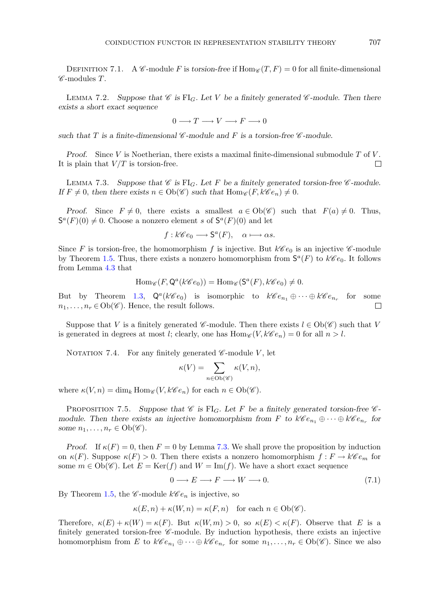DEFINITION 7.1. A *C*-module F is *torsion-free* if  $\text{Hom}_{\mathscr{C}}(T, F) = 0$  for all finite-dimensional *<sup>C</sup>* -modules T.

<span id="page-18-2"></span>LEMMA 7.2. Suppose that  $\mathscr{C}$  is FI<sub>G</sub>. Let V be a finitely generated  $\mathscr{C}$ -module. Then there *exists a short exact sequence*

 $0 \longrightarrow T \longrightarrow V \longrightarrow F \longrightarrow 0$ 

*such that* T *is a finite-dimensional <sup>C</sup> -module and* F *is a torsion-free <sup>C</sup> -module.*

*Proof.* Since V is Noetherian, there exists a maximal finite-dimensional submodule T of V. is plain that  $V/T$  is torsion-free. It is plain that  $V/T$  is torsion-free.

<span id="page-18-0"></span>LEMMA 7.3. Suppose that  $\mathscr C$  is FI<sub>G</sub>. Let F be a finitely generated torsion-free  $\mathscr C$ -module. *If*  $F \neq 0$ , then there exists  $n \in Ob(\mathscr{C})$  such that  $Hom_{\mathscr{C}}(F, k\mathscr{C}e_n) \neq 0$ .

*Proof.* Since  $F \neq 0$ , there exists a smallest  $a \in Ob(\mathscr{C})$  such that  $F(a) \neq 0$ . Thus,  $S^a(F)(0) \neq 0$ . Choose a nonzero element s of  $S^a(F)(0)$  and let

$$
f: k\mathscr{C}e_0 \longrightarrow \mathsf{S}^a(F), \quad \alpha \longmapsto \alpha s.
$$

Since F is torsion-free, the homomorphism f is injective. But  $k\mathscr{C}e_0$  is an injective  $\mathscr{C}$ -module by Theorem [1.5.](#page-1-2) Thus, there exists a nonzero homomorphism from  $S^a(F)$  to  $k\mathscr{C}e_0$ . It follows from Lemma [4.3](#page-9-1) that

$$
\operatorname{Hom}_{\mathscr{C}}(F, \mathsf{Q}^a(k\mathscr{C}e_0)) = \operatorname{Hom}_{\mathscr{C}}(\mathsf{S}^a(F), k\mathscr{C}e_0) \neq 0.
$$

But by Theorem [1.3,](#page-1-0)  $Q^a(k\mathcal{C}e_0)$  is isomorphic to  $k\mathcal{C}e_{n_1} \oplus \cdots \oplus k\mathcal{C}e_{n_r}$  for some  $n_1, \ldots, n_r \in Ob(\mathcal{C})$ . Hence, the result follows.  $n_1,\ldots,n_r\in\mathrm{Ob}(\mathscr{C})$ . Hence, the result follows.

Suppose that V is a finitely generated *C*-module. Then there exists  $l \in Ob(\mathscr{C})$  such that V is generated in degrees at most l; clearly, one has  $\text{Hom}_{\mathscr{C}}(V, k\mathscr{C}e_n) = 0$  for all  $n > l$ .

NOTATION 7.4. For any finitely generated  $\mathscr{C}\text{-module }V$ , let

$$
\kappa(V) = \sum_{n \in Ob(\mathscr{C})} \kappa(V, n),
$$

where  $\kappa(V,n) = \dim_k \text{Hom}_{\mathscr{C}}(V, k\mathscr{C}e_n)$  for each  $n \in \text{Ob}(\mathscr{C})$ .

<span id="page-18-3"></span>**PROPOSITION 7.5.** Suppose that  $\mathscr C$  is FI<sub>G</sub>. Let F be a finitely generated torsion-free  $\mathscr C$ *module. Then there exists an injective homomorphism from* F to  $k\mathscr{C}e_{n_1} \oplus \cdots \oplus k\mathscr{C}e_{n_r}$  for *some*  $n_1, \ldots, n_r \in Ob(\mathscr{C})$ *.* 

*Proof.* If  $\kappa(F) = 0$ , then  $F = 0$  by Lemma [7.3.](#page-18-0) We shall prove the proposition by induction on  $\kappa(F)$ . Suppose  $\kappa(F) > 0$ . Then there exists a nonzero homomorphism  $f: F \to k\mathscr{C}e_m$  for some  $m \in Ob(\mathscr{C})$ . Let  $E = \text{Ker}(f)$  and  $W = \text{Im}(f)$ . We have a short exact sequence

<span id="page-18-1"></span>
$$
0 \longrightarrow E \longrightarrow F \longrightarrow W \longrightarrow 0. \tag{7.1}
$$

By Theorem [1.5,](#page-1-2) the  $\mathscr{C}\text{-module }k\mathscr{C}e_n$  is injective, so

$$
\kappa(E, n) + \kappa(W, n) = \kappa(F, n) \quad \text{for each } n \in \text{Ob}(\mathscr{C}).
$$

Therefore,  $\kappa(E) + \kappa(W) = \kappa(F)$ . But  $\kappa(W, m) > 0$ , so  $\kappa(E) < \kappa(F)$ . Observe that E is a finitely generated torsion-free *C*-module. By induction hypothesis, there exists an injective homomorphism from E to  $k\mathscr{C}e_{n_1} \oplus \cdots \oplus k\mathscr{C}e_{n_r}$  for some  $n_1, \ldots, n_r \in Ob(\mathscr{C})$ . Since we also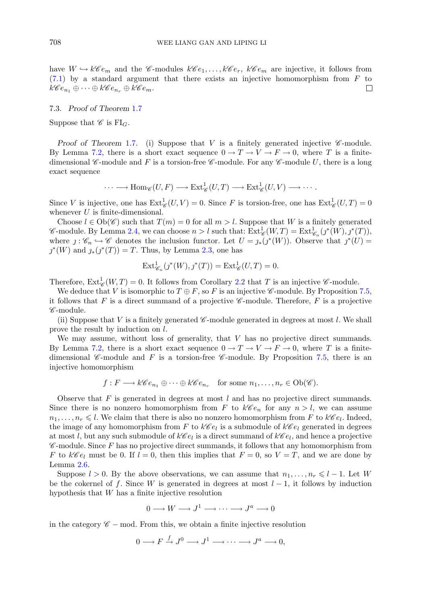have  $W \hookrightarrow k\mathscr{C}e_m$  and the  $\mathscr{C}\text{-modules } k\mathscr{C}e_1,\ldots,k\mathscr{C}e_r, k\mathscr{C}e_m$  are injective, it follows from [\(7.1\)](#page-18-1) by a standard argument that there exists an injective homomorphism from F to  $k\mathscr{C}e_n \oplus \cdots \oplus k\mathscr{C}e_n \oplus k\mathscr{C}e_m$ .  $k\mathscr{C}e_{n_1}\oplus\cdots\oplus k\mathscr{C}e_{n_r}\oplus k\mathscr{C}e_m$ .

## 7.3. *Proof of Theorem* [1.7](#page-2-0)

Suppose that  $\mathscr C$  is  $FI_G$ .

*Proof of Theorem [1.7](#page-2-0).* (i) Suppose that V is a finitely generated injective  $\mathscr{C}\text{-module.}$ By Lemma [7.2,](#page-18-2) there is a short exact sequence  $0 \to T \to V \to F \to 0$ , where T is a finitedimensional *C*-module and F is a torsion-free *C*-module. For any *C*-module U, there is a long exact sequence

$$
\cdots \longrightarrow \text{Hom}_{\mathscr{C}}(U,F) \longrightarrow \text{Ext}^1_{\mathscr{C}}(U,T) \longrightarrow \text{Ext}^1_{\mathscr{C}}(U,V) \longrightarrow \cdots.
$$

Since V is injective, one has  $\text{Ext}^1_{\mathscr{C}}(U, V) = 0$ . Since F is torsion-free, one has  $\text{Ext}^1_{\mathscr{C}}(U, T) = 0$ <br>whenever *U* is finite-dimensional whenever  $U$  is finite-dimensional.

Choose  $l \in Ob(\mathscr{C})$  such that  $T(m) = 0$  for all  $m > l$ . Suppose that W is a finitely generated *C*-module. By Lemma [2.4,](#page-5-2) we can choose  $n > l$  such that:  $\text{Ext}^1_{\mathscr{C}_R}(W,T) = \text{Ext}^1_{\mathscr{C}_R}(j^*(W), j^*(T)),$  where  $j: \mathscr{C} \hookrightarrow \mathscr{C}$  denotes the inclusion functor. Let  $U = i (j^*(W))$ . Observe that  $j^*(U) =$ where  $j : \mathscr{C}_n \hookrightarrow \mathscr{C}$  denotes the inclusion functor. Let  $U = j_*(j^*(W))$ . Observe that  $j^*(U) =$  $j^*(W)$  and  $j_*(j^*(T)) = T$ . Thus, by Lemma [2.3,](#page-5-0) one has

$$
\operatorname{Ext}_{\mathscr{C}_n}^1(\jmath^*(W),\jmath^*(T)) = \operatorname{Ext}_{\mathscr{C}}^1(U,T) = 0.
$$

Therefore,  $\text{Ext}^1_{\mathscr{C}}(W,T) = 0$ . It follows from Corollary [2.2](#page-5-1) that T is an injective *C*-module.<br>We deduce that V is isomorphic to  $T \oplus F$  so F is an injective *C*-module. By Proposition

We deduce that V is isomorphic to  $T \oplus F$ , so F is an injective *C*-module. By Proposition [7.5,](#page-18-3) it follows that  $F$  is a direct summand of a projective  $\mathscr{C}\text{-module}$ . Therefore,  $F$  is a projective *C* -module.

(ii) Suppose that V is a finitely generated  $\mathscr{C}\text{-module generated in degrees at most }l$ . We shall prove the result by induction on l.

We may assume, without loss of generality, that  $V$  has no projective direct summands. By Lemma [7.2,](#page-18-2) there is a short exact sequence  $0 \to T \to V \to F \to 0$ , where T is a finitedimensional *C*-module and *F* is a torsion-free *C*-module. By Proposition [7.5,](#page-18-3) there is an injective homomorphism

$$
f: F \longrightarrow k\mathscr{C}e_{n_1} \oplus \cdots \oplus k\mathscr{C}e_{n_r}
$$
 for some  $n_1, \ldots, n_r \in Ob(\mathscr{C})$ .

Observe that  $F$  is generated in degrees at most  $l$  and has no projective direct summands. Since there is no nonzero homomorphism from F to  $k\mathscr{C}e_n$  for any  $n>l$ , we can assume  $n_1,\ldots,n_r \leq l$ . We claim that there is also no nonzero homomorphism from F to  $k\mathscr{C}e_l$ . Indeed, the image of any homomorphism from F to  $k\mathscr{C}e_l$  is a submodule of  $k\mathscr{C}e_l$  generated in degrees at most l, but any such submodule of  $k\mathscr{C}e_l$  is a direct summand of  $k\mathscr{C}e_l$ , and hence a projective *<sup>C</sup>* -module. Since F has no projective direct summands, it follows that any homomorphism from F to  $k\mathscr{C}e_l$  must be 0. If  $l = 0$ , then this implies that  $F = 0$ , so  $V = T$ , and we are done by Lemma [2.6.](#page-6-1)

Suppose  $l > 0$ . By the above observations, we can assume that  $n_1, \ldots, n_r \leq l - 1$ . Let W be the cokernel of f. Since W is generated in degrees at most  $l-1$ , it follows by induction hypothesis that W has a finite injective resolution

$$
0 \longrightarrow W \longrightarrow J^1 \longrightarrow \cdots \longrightarrow J^a \longrightarrow 0
$$

in the category  $\mathscr{C}$  − mod. From this, we obtain a finite injective resolution

$$
0 \longrightarrow F \xrightarrow{f} J^0 \longrightarrow J^1 \longrightarrow \cdots \longrightarrow J^a \longrightarrow 0,
$$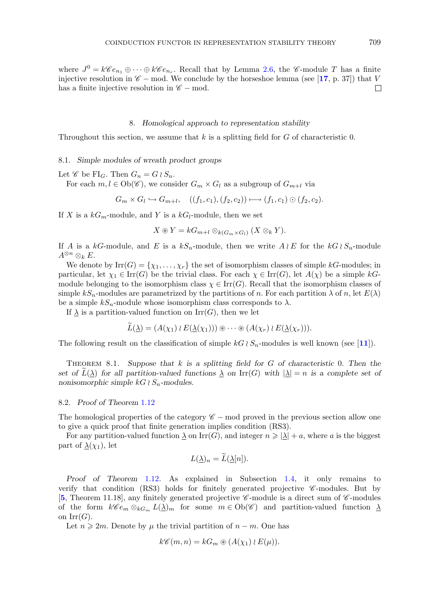where  $J^0 = k\mathscr{C}e_{n_1} \oplus \cdots \oplus k\mathscr{C}e_{n_r}$ . Recall that by Lemma [2.6,](#page-6-1) the  $\mathscr{C}\text{-module }T$  has a finite injective resolution in  $\mathscr{C}$  − mod. We conclude by the horseshoe lemma (see [[17](#page-21-14), p. 37]) that V has a finite injective resolution in  $\mathscr{C}$  − mod. has a finite injective resolution in  $\mathscr{C}$  – mod.

#### 8. *Homological approach to representation stability*

<span id="page-20-0"></span>Throughout this section, we assume that  $k$  is a splitting field for  $G$  of characteristic 0.

#### 8.1. *Simple modules of wreath product groups*

Let *C* be FI<sub>G</sub>. Then  $G_n = G \wr S_n$ .<br>For each  $m \mid f \in \text{Ob}(\mathscr{C})$  we cons

For each  $m, l \in Ob(\mathscr{C})$ , we consider  $G_m \times G_l$  as a subgroup of  $G_{m+l}$  via

$$
G_m \times G_l \hookrightarrow G_{m+l}, \quad ((f_1, c_1), (f_2, c_2)) \longmapsto (f_1, c_1) \odot (f_2, c_2).
$$

If X is a  $kG_m$ -module, and Y is a  $kG_l$ -module, then we set

 $X \circledast Y = kG_{m+l} \otimes_{k(G_m \times G_l)} (X \otimes_k Y).$ 

If A is a  $kG$ -module, and E is a  $kS_n$ -module, then we write  $A \wr E$  for the  $kG \wr S_n$ -module  $A^{\otimes n} \otimes_k E$  $A^{\otimes n}\otimes_k E.$ 

We denote by  $\text{Irr}(G) = \{\chi_1, \ldots, \chi_r\}$  the set of isomorphism classes of simple kG-modules; in particular, let  $\chi_1 \in \text{Irr}(G)$  be the trivial class. For each  $\chi \in \text{Irr}(G)$ , let  $A(\chi)$  be a simple kGmodule belonging to the isomorphism class  $\chi \in \text{Irr}(G)$ . Recall that the isomorphism classes of simple  $kS_n$ -modules are parametrized by the partitions of n. For each partition  $\lambda$  of n, let  $E(\lambda)$ be a simple  $kS_n$ -module whose isomorphism class corresponds to  $\lambda$ .

If  $\lambda$  is a partition-valued function on Irr(G), then we let

$$
L(\underline{\lambda}) = (A(\chi_1) \wr E(\underline{\lambda}(\chi_1))) \circledast \cdots \circledast (A(\chi_r) \wr E(\underline{\lambda}(\chi_r))).
$$

The following result on the classification of simple  $kG \wr S_n$ -modules is well known (see [[11](#page-21-16)]).

Theorem 8.1. *Suppose that* k *is a splitting field for* G *of characteristic* <sup>0</sup>*. Then the set of*  $L(\lambda)$  *for all partition-valued functions*  $\lambda$  *on* Irr(*G*) *with*  $|\lambda| = n$  *is a complete set of nonisomorphic simple*  $kG \wr S_n$ -modules.

## 8.2. *Proof of Theorem* [1.12](#page-3-0)

The homological properties of the category *C* − mod proved in the previous section allow one to give a quick proof that finite generation implies condition (RS3).

For any partition-valued function  $\lambda$  on Irr(G), and integer  $n \geqslant |\lambda| + a$ , where a is the biggest rt of  $\lambda(x_i)$  let part of  $\lambda(\chi_1)$ , let

$$
L(\underline{\lambda})_n = L(\underline{\lambda}[n]).
$$

*Proof of Theorem* [1.12](#page-3-0)*.* As explained in Subsection [1.4,](#page-2-1) it only remains to verify that condition (RS3) holds for finitely generated projective *C* -modules. But by [**[5](#page-21-13)**, Theorem 11.18], any finitely generated projective *C* -module is a direct sum of *C* -modules of the form  $k\mathscr{C}e_m \otimes_{kG_m} L(\underline{\lambda})_m$  for some  $m \in Ob(\mathscr{C})$  and partition-valued function  $\underline{\lambda}$ on  $\mathrm{Irr}(G)$ .

Let  $n \geq 2m$ . Denote by  $\mu$  the trivial partition of  $n - m$ . One has

$$
k\mathscr{C}(m,n) = kG_m \circledast (A(\chi_1) \wr E(\mu)).
$$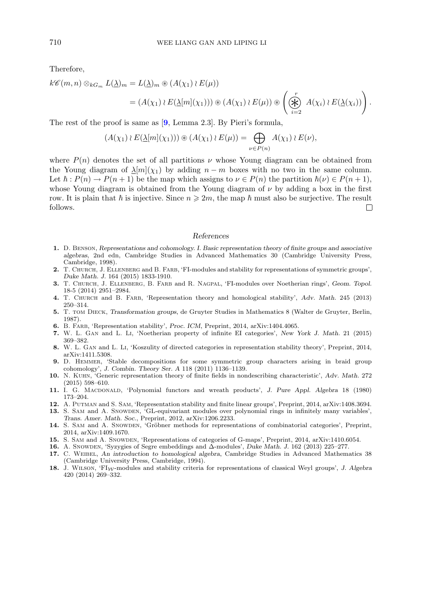Therefore,

$$
k\mathscr{C}(m,n)\otimes_{kG_m}L(\underline{\lambda})_m = L(\underline{\lambda})_m \circledast (A(\chi_1) \wr E(\mu))
$$
  
=  $(A(\chi_1) \wr E(\underline{\lambda}[m](\chi_1))) \circledast (A(\chi_1) \wr E(\mu)) \circledast \left(\bigoplus_{i=2}^r A(\chi_i) \wr E(\underline{\lambda}(\chi_i))\right).$ 

The rest of the proof is same as [**[9](#page-21-17)**, Lemma 2.3]. By Pieri's formula,

$$
(A(\chi_1) \wr E(\underline{\lambda}[m](\chi_1))) \circledast (A(\chi_1) \wr E(\mu)) = \bigoplus_{\nu \in P(n)} A(\chi_1) \wr E(\nu),
$$

where  $P(n)$  denotes the set of all partitions  $\nu$  whose Young diagram can be obtained from the Young diagram of  $\Delta[m](\chi_1)$  by adding  $n - m$  boxes with no two in the same column. Let  $\hbar : P(n) \to P(n+1)$  be the map which assigns to  $\nu \in P(n)$  the partition  $\hbar(\nu) \in P(n+1)$ , whose Young diagram is obtained from the Young diagram of  $\nu$  by adding a box in the first row. It is plain that  $\hbar$  is injective. Since  $n \geqslant 2m$ , the map  $\hbar$  must also be surjective. The result follows follows.

#### *References*

- <span id="page-21-15"></span>**1.** D. Benson, *Representations and cohomology. I. Basic representation theory of finite groups and associative algebras*, 2nd edn, Cambridge Studies in Advanced Mathematics 30 (Cambridge University Press, Cambridge, 1998).
- <span id="page-21-4"></span>**2.** T. Church, J. Ellenberg and B. Farb, 'FI-modules and stability for representations of symmetric groups', *Duke Math. J.* 164 (2015) 1833-1910.
- <span id="page-21-7"></span>**3.** T. Church, J. Ellenberg, B. Farb and R. Nagpal, 'FI-modules over Noetherian rings', *Geom. Topol.* 18-5 (2014) 2951–2984.
- <span id="page-21-5"></span>**4.** T. Church and B. Farb, 'Representation theory and homological stability', *Adv. Math.* 245 (2013) 250–314.
- <span id="page-21-13"></span>**5.** T. tom Dieck, *Transformation groups*, de Gruyter Studies in Mathematics 8 (Walter de Gruyter, Berlin, 1987).
- <span id="page-21-3"></span>**6.** B. Farb, 'Representation stability', *Proc. ICM*, Preprint, 2014, arXiv:1404.4065.
- <span id="page-21-6"></span>**7.** W. L. Gan and L. Li, 'Noetherian property of infinite EI categories', *New York J. Math*. 21 (2015) 369–382.
- <span id="page-21-12"></span>**8.** W. L. Gan and L. Li, 'Koszulity of directed categories in representation stability theory', Preprint, 2014, arXiv:1411.5308.
- <span id="page-21-17"></span>**9.** D. Hemmer, 'Stable decompositions for some symmetric group characters arising in braid group cohomology', *J. Combin. Theory Ser. A* 118 (2011) 1136–1139.
- <span id="page-21-1"></span>**10.** N. Kuhn, 'Generic representation theory of finite fields in nondescribing characteristic', *Adv. Math.* 272 (2015) 598–610.
- <span id="page-21-16"></span>**11.** I. G. Macdonald, 'Polynomial functors and wreath products', *J. Pure Appl. Algebra* 18 (1980) 173–204.
- <span id="page-21-10"></span>**12.** A. Putman and S. Sam, 'Representation stability and finite linear groups', Preprint, 2014, arXiv:1408.3694.
- <span id="page-21-0"></span>13. S. SAM and A. SNOWDEN, 'GL-equivariant modules over polynomial rings in infinitely many variables', *Trans. Amer. Math. Soc.*, Preprint, 2012, arXiv:1206.2233.
- <span id="page-21-11"></span>14. S. SAM and A. SNOWDEN, 'Gröbner methods for representations of combinatorial categories', Preprint, 2014, arXiv:1409.1670.
- <span id="page-21-2"></span>**15.** S. Sam and A. Snowden, 'Representations of categories of G-maps', Preprint, 2014, arXiv:1410.6054.
- <span id="page-21-9"></span>**16.** A. Snowden, 'Syzygies of Segre embeddings and Δ-modules', *Duke Math. J.* 162 (2013) 225–277.
- <span id="page-21-14"></span>**17.** C. Weibel, *An introduction to homological algebra*, Cambridge Studies in Advanced Mathematics 38 (Cambridge University Press, Cambridge, 1994).
- <span id="page-21-8"></span>**18.** J. Wilson, 'FI*W*-modules and stability criteria for representations of classical Weyl groups', *J. Algebra* 420 (2014) 269–332.